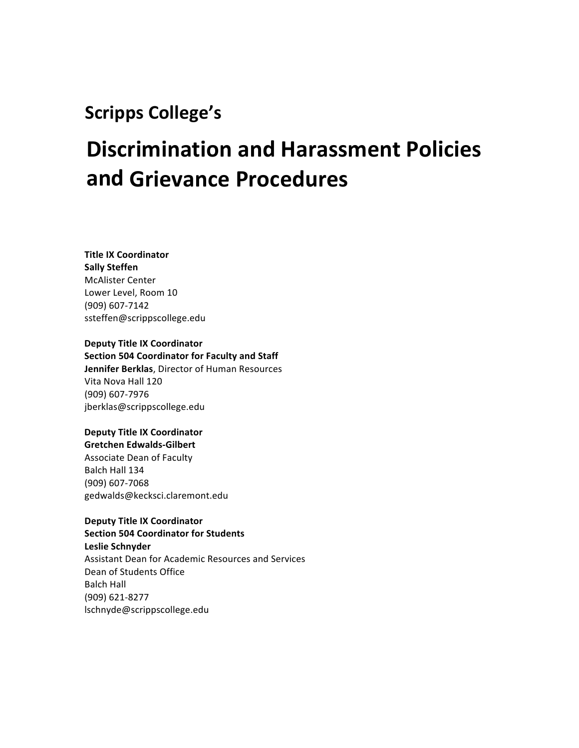## **Scripps College's**

# **Discrimination and Harassment Policies and Grievance Procedures**

### **Title IX Coordinator Sally Steffen McAlister Center** Lower Level, Room 10 (909) 607-7142 ssteffen@scrippscollege.edu

**Deputy Title IX Coordinator Section 504 Coordinator for Faculty and Staff Jennifer Berklas**, Director of Human Resources Vita Nova Hall 120 (909) 607-7976 jberklas@scrippscollege.edu

### **Deputy Title IX Coordinator Gretchen Edwalds-Gilbert**

Associate Dean of Faculty Balch Hall 134 (909) 607-7068 gedwalds@kecksci.claremont.edu

**Deputy Title IX Coordinator Section 504 Coordinator for Students Leslie Schnyder** Assistant Dean for Academic Resources and Services Dean of Students Office **Balch Hall** (909) 621-8277 lschnyde@scrippscollege.edu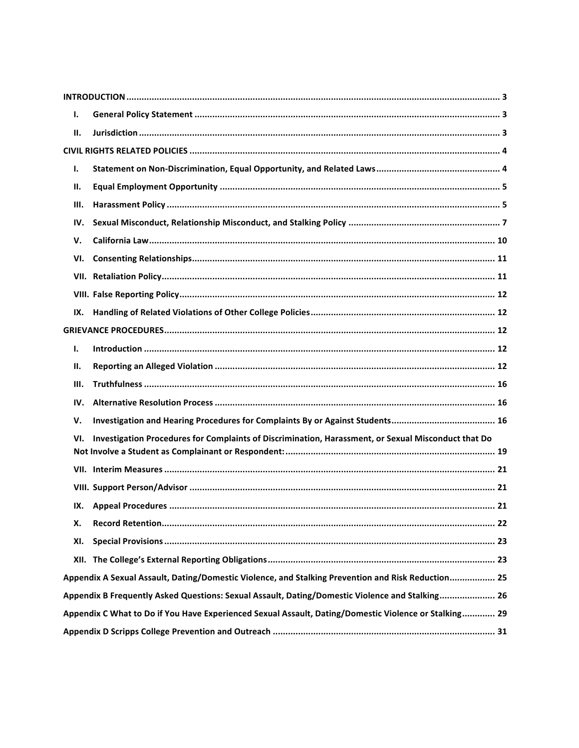| Ι.                                                                                                    |                                                                                                     |  |
|-------------------------------------------------------------------------------------------------------|-----------------------------------------------------------------------------------------------------|--|
| П.                                                                                                    |                                                                                                     |  |
|                                                                                                       |                                                                                                     |  |
| Ι.                                                                                                    |                                                                                                     |  |
| П.                                                                                                    |                                                                                                     |  |
| Ш.                                                                                                    |                                                                                                     |  |
| IV.                                                                                                   |                                                                                                     |  |
| V.                                                                                                    |                                                                                                     |  |
| VI.                                                                                                   |                                                                                                     |  |
|                                                                                                       |                                                                                                     |  |
|                                                                                                       |                                                                                                     |  |
| IX.                                                                                                   |                                                                                                     |  |
|                                                                                                       |                                                                                                     |  |
| I.                                                                                                    |                                                                                                     |  |
| П.                                                                                                    |                                                                                                     |  |
| Ш.                                                                                                    |                                                                                                     |  |
| IV.                                                                                                   |                                                                                                     |  |
| V.                                                                                                    |                                                                                                     |  |
| VI.                                                                                                   | Investigation Procedures for Complaints of Discrimination, Harassment, or Sexual Misconduct that Do |  |
|                                                                                                       |                                                                                                     |  |
|                                                                                                       |                                                                                                     |  |
|                                                                                                       |                                                                                                     |  |
|                                                                                                       |                                                                                                     |  |
| х.                                                                                                    |                                                                                                     |  |
| XI.                                                                                                   |                                                                                                     |  |
|                                                                                                       |                                                                                                     |  |
| Appendix A Sexual Assault, Dating/Domestic Violence, and Stalking Prevention and Risk Reduction 25    |                                                                                                     |  |
|                                                                                                       | Appendix B Frequently Asked Questions: Sexual Assault, Dating/Domestic Violence and Stalking 26     |  |
| Appendix C What to Do if You Have Experienced Sexual Assault, Dating/Domestic Violence or Stalking 29 |                                                                                                     |  |
|                                                                                                       |                                                                                                     |  |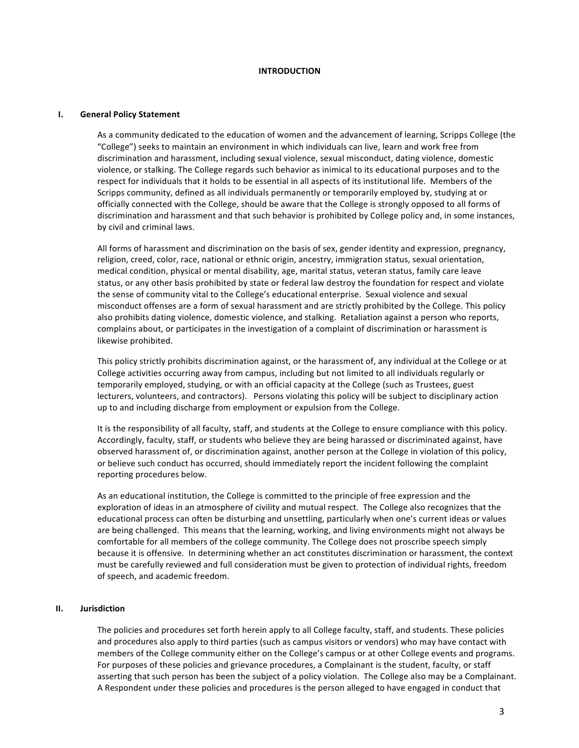### **INTRODUCTION**

#### **I.** General Policy Statement

As a community dedicated to the education of women and the advancement of learning, Scripps College (the "College") seeks to maintain an environment in which individuals can live, learn and work free from discrimination and harassment, including sexual violence, sexual misconduct, dating violence, domestic violence, or stalking. The College regards such behavior as inimical to its educational purposes and to the respect for individuals that it holds to be essential in all aspects of its institutional life. Members of the Scripps community, defined as all individuals permanently or temporarily employed by, studying at or officially connected with the College, should be aware that the College is strongly opposed to all forms of discrimination and harassment and that such behavior is prohibited by College policy and, in some instances, by civil and criminal laws.

All forms of harassment and discrimination on the basis of sex, gender identity and expression, pregnancy, religion, creed, color, race, national or ethnic origin, ancestry, immigration status, sexual orientation, medical condition, physical or mental disability, age, marital status, veteran status, family care leave status, or any other basis prohibited by state or federal law destroy the foundation for respect and violate the sense of community vital to the College's educational enterprise. Sexual violence and sexual misconduct offenses are a form of sexual harassment and are strictly prohibited by the College. This policy also prohibits dating violence, domestic violence, and stalking. Retaliation against a person who reports, complains about, or participates in the investigation of a complaint of discrimination or harassment is likewise prohibited.

This policy strictly prohibits discrimination against, or the harassment of, any individual at the College or at College activities occurring away from campus, including but not limited to all individuals regularly or temporarily employed, studying, or with an official capacity at the College (such as Trustees, guest lecturers, volunteers, and contractors). Persons violating this policy will be subject to disciplinary action up to and including discharge from employment or expulsion from the College.

It is the responsibility of all faculty, staff, and students at the College to ensure compliance with this policy. Accordingly, faculty, staff, or students who believe they are being harassed or discriminated against, have observed harassment of, or discrimination against, another person at the College in violation of this policy, or believe such conduct has occurred, should immediately report the incident following the complaint reporting procedures below.

As an educational institution, the College is committed to the principle of free expression and the exploration of ideas in an atmosphere of civility and mutual respect. The College also recognizes that the educational process can often be disturbing and unsettling, particularly when one's current ideas or values are being challenged. This means that the learning, working, and living environments might not always be comfortable for all members of the college community. The College does not proscribe speech simply because it is offensive. In determining whether an act constitutes discrimination or harassment, the context must be carefully reviewed and full consideration must be given to protection of individual rights, freedom of speech, and academic freedom.

### **II. Jurisdiction**

The policies and procedures set forth herein apply to all College faculty, staff, and students. These policies and procedures also apply to third parties (such as campus visitors or vendors) who may have contact with members of the College community either on the College's campus or at other College events and programs. For purposes of these policies and grievance procedures, a Complainant is the student, faculty, or staff asserting that such person has been the subject of a policy violation. The College also may be a Complainant. A Respondent under these policies and procedures is the person alleged to have engaged in conduct that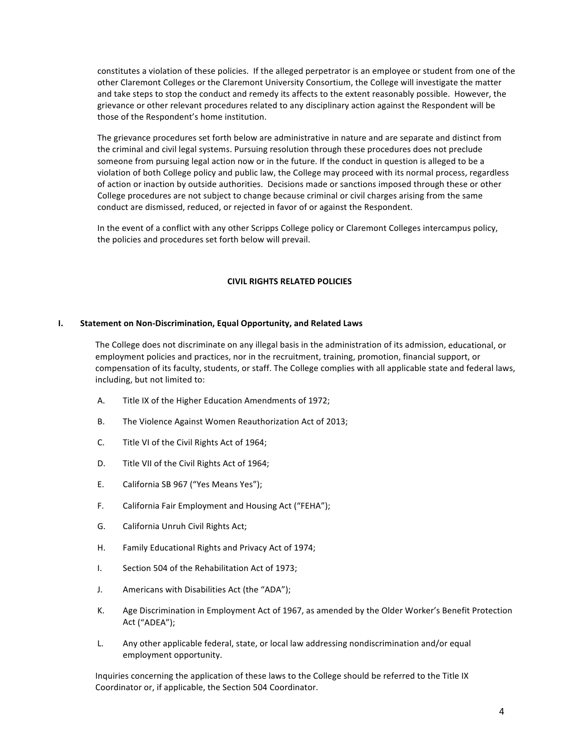constitutes a violation of these policies. If the alleged perpetrator is an employee or student from one of the other Claremont Colleges or the Claremont University Consortium, the College will investigate the matter and take steps to stop the conduct and remedy its affects to the extent reasonably possible. However, the grievance or other relevant procedures related to any disciplinary action against the Respondent will be those of the Respondent's home institution.

The grievance procedures set forth below are administrative in nature and are separate and distinct from the criminal and civil legal systems. Pursuing resolution through these procedures does not preclude someone from pursuing legal action now or in the future. If the conduct in question is alleged to be a violation of both College policy and public law, the College may proceed with its normal process, regardless of action or inaction by outside authorities. Decisions made or sanctions imposed through these or other College procedures are not subject to change because criminal or civil charges arising from the same conduct are dismissed, reduced, or rejected in favor of or against the Respondent.

In the event of a conflict with any other Scripps College policy or Claremont Colleges intercampus policy, the policies and procedures set forth below will prevail.

### **CIVIL RIGHTS RELATED POLICIES**

### **I.** Statement on Non-Discrimination, Equal Opportunity, and Related Laws

The College does not discriminate on any illegal basis in the administration of its admission, educational, or employment policies and practices, nor in the recruitment, training, promotion, financial support, or compensation of its faculty, students, or staff. The College complies with all applicable state and federal laws, including, but not limited to:

- A. Title IX of the Higher Education Amendments of 1972;
- B. The Violence Against Women Reauthorization Act of 2013;
- C. Title VI of the Civil Rights Act of 1964;
- D. Title VII of the Civil Rights Act of 1964;
- E. California SB 967 ("Yes Means Yes");
- F. California Fair Employment and Housing Act ("FEHA");
- G. California Unruh Civil Rights Act;
- H. Family Educational Rights and Privacy Act of 1974;
- I. Section 504 of the Rehabilitation Act of 1973;
- J. Americans with Disabilities Act (the "ADA");
- K. Age Discrimination in Employment Act of 1967, as amended by the Older Worker's Benefit Protection Act ("ADEA");
- L. Any other applicable federal, state, or local law addressing nondiscrimination and/or equal employment opportunity.

Inquiries concerning the application of these laws to the College should be referred to the Title IX Coordinator or, if applicable, the Section 504 Coordinator.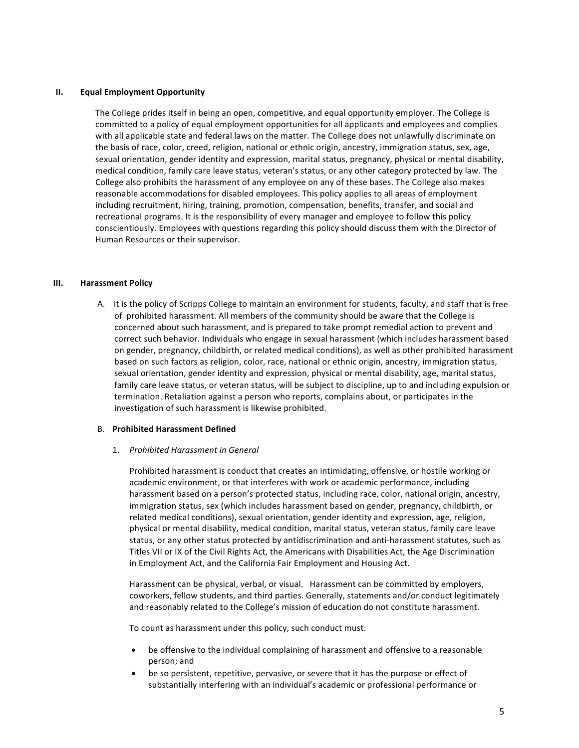### **II. Equal Employment Opportunity**

The College prides itself in being an open, competitive, and equal opportunity employer. The College is committed to a policy of equal employment opportunities for all applicants and employees and complies with all applicable state and federal laws on the matter. The College does not unlawfully discriminate on the basis of race, color, creed, religion, national or ethnic origin, ancestry, immigration status, sex, age, sexual orientation, gender identity and expression, marital status, pregnancy, physical or mental disability, medical condition, family care leave status, veteran's status, or any other category protected by law. The College also prohibits the harassment of any employee on any of these bases. The College also makes reasonable accommodations for disabled employees. This policy applies to all areas of employment including recruitment, hiring, training, promotion, compensation, benefits, transfer, and social and recreational programs. It is the responsibility of every manager and employee to follow this policy conscientiously. Employees with questions regarding this policy should discuss them with the Director of Human Resources or their supervisor.

### **III. Harassment Policy**

A. It is the policy of Scripps College to maintain an environment for students, faculty, and staff that is free of prohibited harassment. All members of the community should be aware that the College is concerned about such harassment, and is prepared to take prompt remedial action to prevent and correct such behavior. Individuals who engage in sexual harassment (which includes harassment based on gender, pregnancy, childbirth, or related medical conditions), as well as other prohibited harassment based on such factors as religion, color, race, national or ethnic origin, ancestry, immigration status, sexual orientation, gender identity and expression, physical or mental disability, age, marital status, family care leave status, or veteran status, will be subject to discipline, up to and including expulsion or termination. Retaliation against a person who reports, complains about, or participates in the investigation of such harassment is likewise prohibited.

### B. **Prohibited Harassment Defined**

#### 1. *Prohibited Harassment in General*

Prohibited harassment is conduct that creates an intimidating, offensive, or hostile working or academic environment, or that interferes with work or academic performance, including harassment based on a person's protected status, including race, color, national origin, ancestry, immigration status, sex (which includes harassment based on gender, pregnancy, childbirth, or related medical conditions), sexual orientation, gender identity and expression, age, religion, physical or mental disability, medical condition, marital status, veteran status, family care leave status, or any other status protected by antidiscrimination and anti-harassment statutes, such as Titles VII or IX of the Civil Rights Act, the Americans with Disabilities Act, the Age Discrimination in Employment Act, and the California Fair Employment and Housing Act.

Harassment can be physical, verbal, or visual. Harassment can be committed by employers, coworkers, fellow students, and third parties. Generally, statements and/or conduct legitimately and reasonably related to the College's mission of education do not constitute harassment.

To count as harassment under this policy, such conduct must:

- be offensive to the individual complaining of harassment and offensive to a reasonable person; and
- be so persistent, repetitive, pervasive, or severe that it has the purpose or effect of substantially interfering with an individual's academic or professional performance or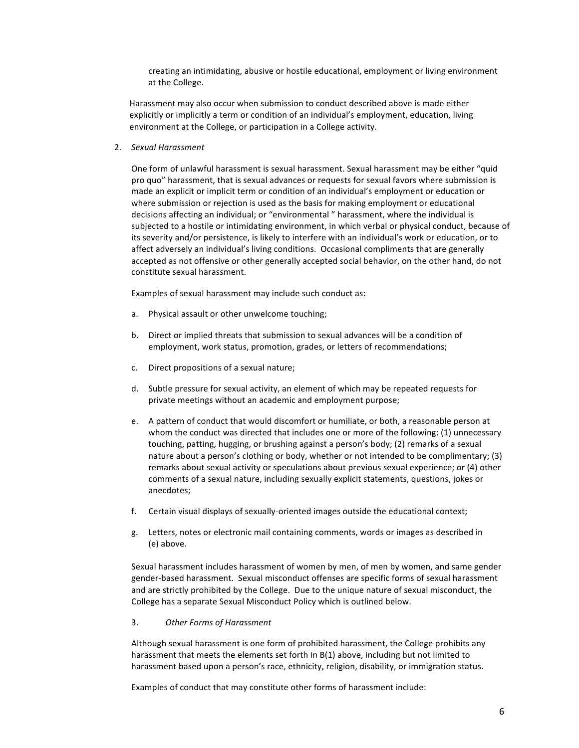creating an intimidating, abusive or hostile educational, employment or living environment at the College.

Harassment may also occur when submission to conduct described above is made either explicitly or implicitly a term or condition of an individual's employment, education, living environment at the College, or participation in a College activity.

2. *Sexual Harassment*

One form of unlawful harassment is sexual harassment. Sexual harassment may be either "quid pro quo" harassment, that is sexual advances or requests for sexual favors where submission is made an explicit or implicit term or condition of an individual's employment or education or where submission or rejection is used as the basis for making employment or educational decisions affecting an individual; or "environmental" harassment, where the individual is subjected to a hostile or intimidating environment, in which verbal or physical conduct, because of its severity and/or persistence, is likely to interfere with an individual's work or education, or to affect adversely an individual's living conditions. Occasional compliments that are generally accepted as not offensive or other generally accepted social behavior, on the other hand, do not constitute sexual harassment.

Examples of sexual harassment may include such conduct as:

- a. Physical assault or other unwelcome touching;
- b. Direct or implied threats that submission to sexual advances will be a condition of employment, work status, promotion, grades, or letters of recommendations;
- c. Direct propositions of a sexual nature;
- d. Subtle pressure for sexual activity, an element of which may be repeated requests for private meetings without an academic and employment purpose;
- e. A pattern of conduct that would discomfort or humiliate, or both, a reasonable person at whom the conduct was directed that includes one or more of the following: (1) unnecessary touching, patting, hugging, or brushing against a person's body; (2) remarks of a sexual nature about a person's clothing or body, whether or not intended to be complimentary; (3) remarks about sexual activity or speculations about previous sexual experience; or (4) other comments of a sexual nature, including sexually explicit statements, questions, jokes or anecdotes;
- f. Certain visual displays of sexually-oriented images outside the educational context;
- g. Letters, notes or electronic mail containing comments, words or images as described in (e) above.

Sexual harassment includes harassment of women by men, of men by women, and same gender gender-based harassment. Sexual misconduct offenses are specific forms of sexual harassment and are strictly prohibited by the College. Due to the unique nature of sexual misconduct, the College has a separate Sexual Misconduct Policy which is outlined below.

### 3. Other Forms of Harassment

Although sexual harassment is one form of prohibited harassment, the College prohibits any harassment that meets the elements set forth in  $B(1)$  above, including but not limited to harassment based upon a person's race, ethnicity, religion, disability, or immigration status.

Examples of conduct that may constitute other forms of harassment include: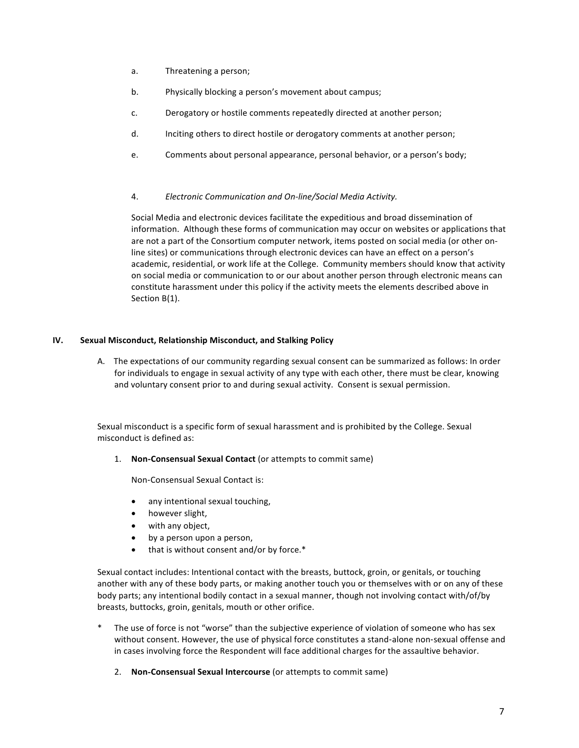- a. Threatening a person;
- b. Physically blocking a person's movement about campus;
- c. Derogatory or hostile comments repeatedly directed at another person;
- d. Inciting others to direct hostile or derogatory comments at another person;
- e. Comments about personal appearance, personal behavior, or a person's body;

### 4. *Electronic Communication and On-line/Social Media Activity.*

Social Media and electronic devices facilitate the expeditious and broad dissemination of information. Although these forms of communication may occur on websites or applications that are not a part of the Consortium computer network, items posted on social media (or other online sites) or communications through electronic devices can have an effect on a person's academic, residential, or work life at the College. Community members should know that activity on social media or communication to or our about another person through electronic means can constitute harassment under this policy if the activity meets the elements described above in Section B(1).

### **IV. Sexual Misconduct, Relationship Misconduct, and Stalking Policy**

A. The expectations of our community regarding sexual consent can be summarized as follows: In order for individuals to engage in sexual activity of any type with each other, there must be clear, knowing and voluntary consent prior to and during sexual activity. Consent is sexual permission.

Sexual misconduct is a specific form of sexual harassment and is prohibited by the College. Sexual misconduct is defined as:

1. **Non-Consensual Sexual Contact** (or attempts to commit same)

Non-Consensual Sexual Contact is:

- any intentional sexual touching,
- however slight,
- with any object,
- by a person upon a person,
- $\bullet$  that is without consent and/or by force.\*

Sexual contact includes: Intentional contact with the breasts, buttock, groin, or genitals, or touching another with any of these body parts, or making another touch you or themselves with or on any of these body parts; any intentional bodily contact in a sexual manner, though not involving contact with/of/by breasts, buttocks, groin, genitals, mouth or other orifice.

- The use of force is not "worse" than the subjective experience of violation of someone who has sex without consent. However, the use of physical force constitutes a stand-alone non-sexual offense and in cases involving force the Respondent will face additional charges for the assaultive behavior.
	- 2. **Non-Consensual Sexual Intercourse** (or attempts to commit same)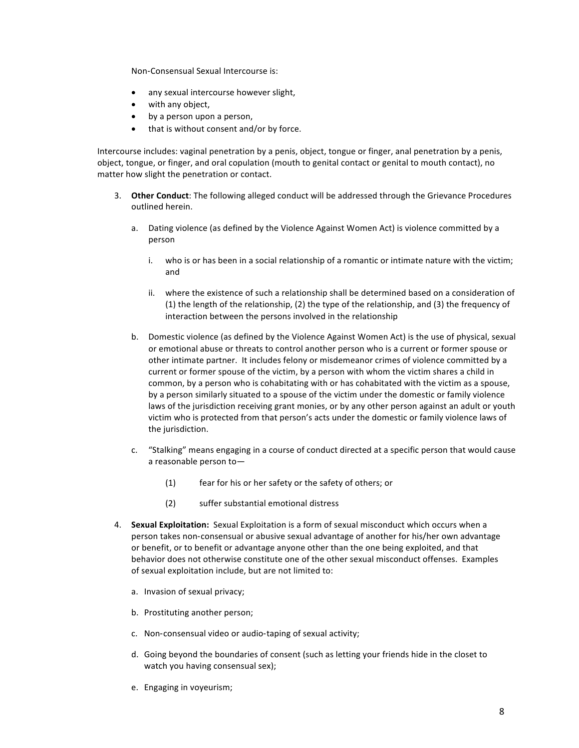Non-Consensual Sexual Intercourse is:

- any sexual intercourse however slight,
- with any object,
- by a person upon a person,
- $\bullet$  that is without consent and/or by force.

Intercourse includes: vaginal penetration by a penis, object, tongue or finger, anal penetration by a penis, object, tongue, or finger, and oral copulation (mouth to genital contact or genital to mouth contact), no matter how slight the penetration or contact.

- 3. Other Conduct: The following alleged conduct will be addressed through the Grievance Procedures outlined herein.
	- a. Dating violence (as defined by the Violence Against Women Act) is violence committed by a person
		- i. who is or has been in a social relationship of a romantic or intimate nature with the victim; and
		- ii. where the existence of such a relationship shall be determined based on a consideration of (1) the length of the relationship, (2) the type of the relationship, and (3) the frequency of interaction between the persons involved in the relationship
	- b. Domestic violence (as defined by the Violence Against Women Act) is the use of physical, sexual or emotional abuse or threats to control another person who is a current or former spouse or other intimate partner. It includes felony or misdemeanor crimes of violence committed by a current or former spouse of the victim, by a person with whom the victim shares a child in common, by a person who is cohabitating with or has cohabitated with the victim as a spouse, by a person similarly situated to a spouse of the victim under the domestic or family violence laws of the jurisdiction receiving grant monies, or by any other person against an adult or youth victim who is protected from that person's acts under the domestic or family violence laws of the jurisdiction.
	- c. "Stalking" means engaging in a course of conduct directed at a specific person that would cause a reasonable person to $-$ 
		- (1) fear for his or her safety or the safety of others; or
		- (2) suffer substantial emotional distress
- 4. **Sexual Exploitation:** Sexual Exploitation is a form of sexual misconduct which occurs when a person takes non-consensual or abusive sexual advantage of another for his/her own advantage or benefit, or to benefit or advantage anyone other than the one being exploited, and that behavior does not otherwise constitute one of the other sexual misconduct offenses. Examples of sexual exploitation include, but are not limited to:
	- a. Invasion of sexual privacy;
	- b. Prostituting another person;
	- c. Non-consensual video or audio-taping of sexual activity;
	- d. Going beyond the boundaries of consent (such as letting your friends hide in the closet to watch you having consensual sex);
	- e. Engaging in voyeurism;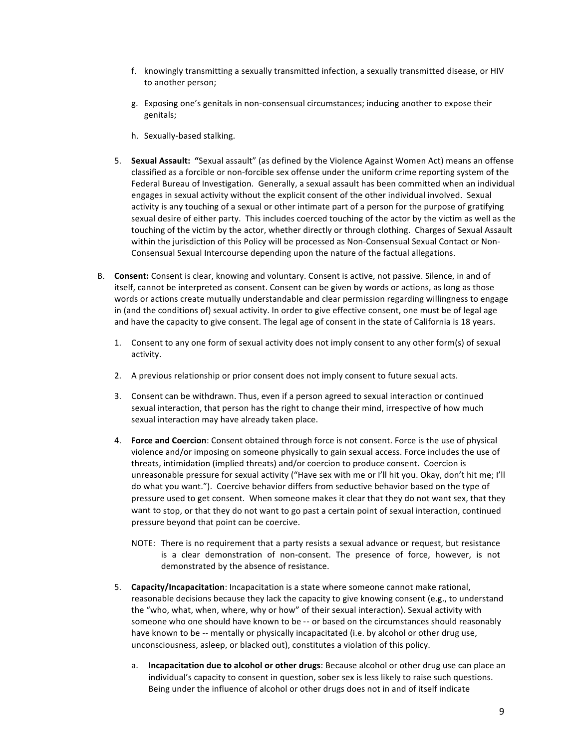- f. knowingly transmitting a sexually transmitted infection, a sexually transmitted disease, or HIV to another person;
- g. Exposing one's genitals in non-consensual circumstances; inducing another to expose their genitals;
- h. Sexually-based stalking.
- 5. **Sexual Assault:** "Sexual assault" (as defined by the Violence Against Women Act) means an offense classified as a forcible or non-forcible sex offense under the uniform crime reporting system of the Federal Bureau of Investigation. Generally, a sexual assault has been committed when an individual engages in sexual activity without the explicit consent of the other individual involved. Sexual activity is any touching of a sexual or other intimate part of a person for the purpose of gratifying sexual desire of either party. This includes coerced touching of the actor by the victim as well as the touching of the victim by the actor, whether directly or through clothing. Charges of Sexual Assault within the jurisdiction of this Policy will be processed as Non-Consensual Sexual Contact or Non-Consensual Sexual Intercourse depending upon the nature of the factual allegations.
- B. **Consent:** Consent is clear, knowing and voluntary. Consent is active, not passive. Silence, in and of itself, cannot be interpreted as consent. Consent can be given by words or actions, as long as those words or actions create mutually understandable and clear permission regarding willingness to engage in (and the conditions of) sexual activity. In order to give effective consent, one must be of legal age and have the capacity to give consent. The legal age of consent in the state of California is 18 years.
	- 1. Consent to any one form of sexual activity does not imply consent to any other form(s) of sexual activity.
	- 2. A previous relationship or prior consent does not imply consent to future sexual acts.
	- 3. Consent can be withdrawn. Thus, even if a person agreed to sexual interaction or continued sexual interaction, that person has the right to change their mind, irrespective of how much sexual interaction may have already taken place.
	- 4. **Force and Coercion**: Consent obtained through force is not consent. Force is the use of physical violence and/or imposing on someone physically to gain sexual access. Force includes the use of threats, intimidation (implied threats) and/or coercion to produce consent. Coercion is unreasonable pressure for sexual activity ("Have sex with me or I'll hit you. Okay, don't hit me; I'll do what you want."). Coercive behavior differs from seductive behavior based on the type of pressure used to get consent. When someone makes it clear that they do not want sex, that they want to stop, or that they do not want to go past a certain point of sexual interaction, continued pressure beyond that point can be coercive.
		- NOTE: There is no requirement that a party resists a sexual advance or request, but resistance is a clear demonstration of non-consent. The presence of force, however, is not demonstrated by the absence of resistance.
	- 5. **Capacity/Incapacitation**: Incapacitation is a state where someone cannot make rational, reasonable decisions because they lack the capacity to give knowing consent (e.g., to understand the "who, what, when, where, why or how" of their sexual interaction). Sexual activity with someone who one should have known to be -- or based on the circumstances should reasonably have known to be -- mentally or physically incapacitated (i.e. by alcohol or other drug use, unconsciousness, asleep, or blacked out), constitutes a violation of this policy.
		- a. **Incapacitation due to alcohol or other drugs**: Because alcohol or other drug use can place an individual's capacity to consent in question, sober sex is less likely to raise such questions. Being under the influence of alcohol or other drugs does not in and of itself indicate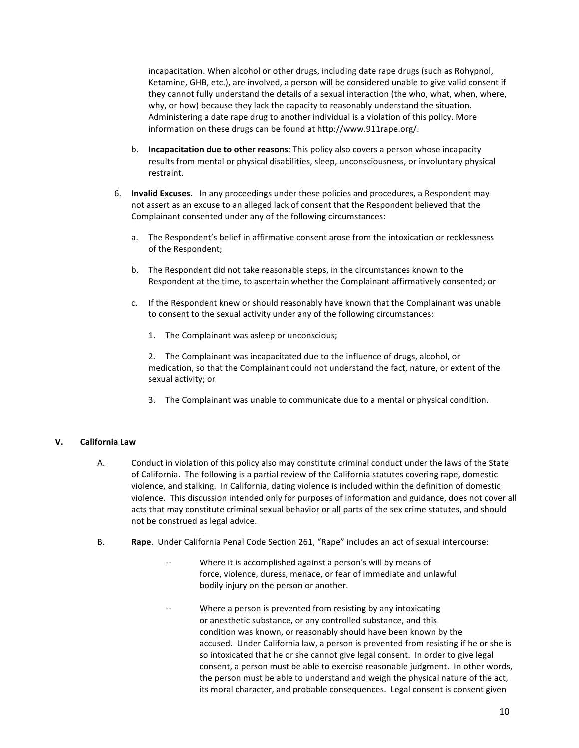incapacitation. When alcohol or other drugs, including date rape drugs (such as Rohypnol, Ketamine, GHB, etc.), are involved, a person will be considered unable to give valid consent if they cannot fully understand the details of a sexual interaction (the who, what, when, where, why, or how) because they lack the capacity to reasonably understand the situation. Administering a date rape drug to another individual is a violation of this policy. More information on these drugs can be found at http://www.911rape.org/.

- b. **Incapacitation due to other reasons**: This policy also covers a person whose incapacity results from mental or physical disabilities, sleep, unconsciousness, or involuntary physical restraint.
- 6. **Invalid Excuses.** In any proceedings under these policies and procedures, a Respondent may not assert as an excuse to an alleged lack of consent that the Respondent believed that the Complainant consented under any of the following circumstances:
	- a. The Respondent's belief in affirmative consent arose from the intoxication or recklessness of the Respondent;
	- b. The Respondent did not take reasonable steps, in the circumstances known to the Respondent at the time, to ascertain whether the Complainant affirmatively consented; or
	- c. If the Respondent knew or should reasonably have known that the Complainant was unable to consent to the sexual activity under any of the following circumstances:
		- 1. The Complainant was asleep or unconscious;
		- 2. The Complainant was incapacitated due to the influence of drugs, alcohol, or medication, so that the Complainant could not understand the fact, nature, or extent of the sexual activity; or
		- 3. The Complainant was unable to communicate due to a mental or physical condition.

### **V. California Law**

- A. Conduct in violation of this policy also may constitute criminal conduct under the laws of the State of California. The following is a partial review of the California statutes covering rape, domestic violence, and stalking. In California, dating violence is included within the definition of domestic violence. This discussion intended only for purposes of information and guidance, does not cover all acts that may constitute criminal sexual behavior or all parts of the sex crime statutes, and should not be construed as legal advice.
- B. **Rape**. Under California Penal Code Section 261, "Rape" includes an act of sexual intercourse:
	- -- Where it is accomplished against a person's will by means of force, violence, duress, menace, or fear of immediate and unlawful bodily injury on the person or another.
	- -- Where a person is prevented from resisting by any intoxicating or anesthetic substance, or any controlled substance, and this condition was known, or reasonably should have been known by the accused. Under California law, a person is prevented from resisting if he or she is so intoxicated that he or she cannot give legal consent. In order to give legal consent, a person must be able to exercise reasonable judgment. In other words, the person must be able to understand and weigh the physical nature of the act, its moral character, and probable consequences. Legal consent is consent given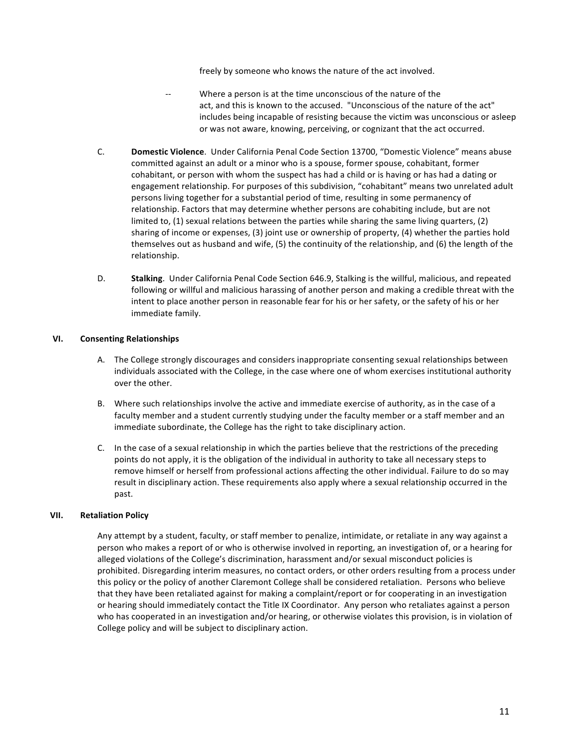freely by someone who knows the nature of the act involved.

- Where a person is at the time unconscious of the nature of the act, and this is known to the accused. "Unconscious of the nature of the act" includes being incapable of resisting because the victim was unconscious or asleep or was not aware, knowing, perceiving, or cognizant that the act occurred.
- C. **Domestic Violence**. Under California Penal Code Section 13700, "Domestic Violence" means abuse committed against an adult or a minor who is a spouse, former spouse, cohabitant, former cohabitant, or person with whom the suspect has had a child or is having or has had a dating or engagement relationship. For purposes of this subdivision, "cohabitant" means two unrelated adult persons living together for a substantial period of time, resulting in some permanency of relationship. Factors that may determine whether persons are cohabiting include, but are not limited to,  $(1)$  sexual relations between the parties while sharing the same living quarters,  $(2)$ sharing of income or expenses,  $(3)$  joint use or ownership of property,  $(4)$  whether the parties hold themselves out as husband and wife,  $(5)$  the continuity of the relationship, and  $(6)$  the length of the relationship.
- D. **Stalking**. Under California Penal Code Section 646.9, Stalking is the willful, malicious, and repeated following or willful and malicious harassing of another person and making a credible threat with the intent to place another person in reasonable fear for his or her safety, or the safety of his or her immediate family.

### **VI. Consenting Relationships**

- A. The College strongly discourages and considers inappropriate consenting sexual relationships between individuals associated with the College, in the case where one of whom exercises institutional authority over the other.
- B. Where such relationships involve the active and immediate exercise of authority, as in the case of a faculty member and a student currently studying under the faculty member or a staff member and an immediate subordinate, the College has the right to take disciplinary action.
- C. In the case of a sexual relationship in which the parties believe that the restrictions of the preceding points do not apply, it is the obligation of the individual in authority to take all necessary steps to remove himself or herself from professional actions affecting the other individual. Failure to do so may result in disciplinary action. These requirements also apply where a sexual relationship occurred in the past.

### **VII. Retaliation Policy**

Any attempt by a student, faculty, or staff member to penalize, intimidate, or retaliate in any way against a person who makes a report of or who is otherwise involved in reporting, an investigation of, or a hearing for alleged violations of the College's discrimination, harassment and/or sexual misconduct policies is prohibited. Disregarding interim measures, no contact orders, or other orders resulting from a process under this policy or the policy of another Claremont College shall be considered retaliation. Persons who believe that they have been retaliated against for making a complaint/report or for cooperating in an investigation or hearing should immediately contact the Title IX Coordinator. Any person who retaliates against a person who has cooperated in an investigation and/or hearing, or otherwise violates this provision, is in violation of College policy and will be subject to disciplinary action.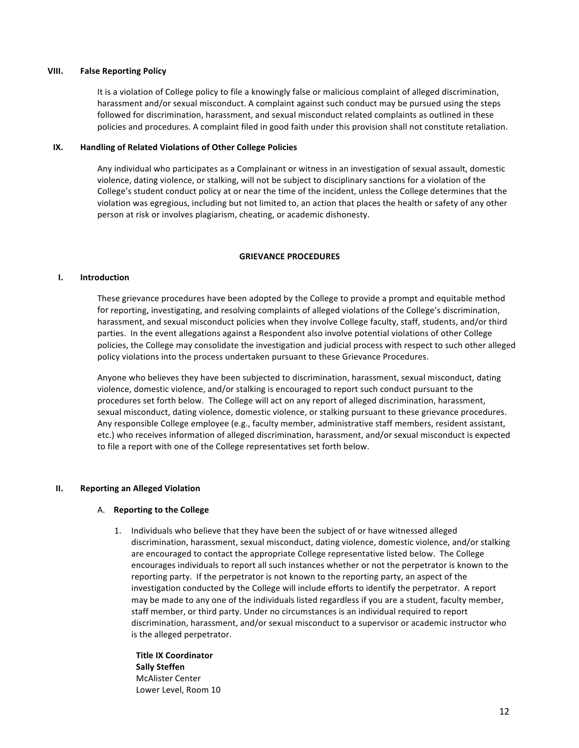### **VIII. False Reporting Policy**

It is a violation of College policy to file a knowingly false or malicious complaint of alleged discrimination, harassment and/or sexual misconduct. A complaint against such conduct may be pursued using the steps followed for discrimination, harassment, and sexual misconduct related complaints as outlined in these policies and procedures. A complaint filed in good faith under this provision shall not constitute retaliation.

### **IX. Handling of Related Violations of Other College Policies**

Any individual who participates as a Complainant or witness in an investigation of sexual assault, domestic violence, dating violence, or stalking, will not be subject to disciplinary sanctions for a violation of the College's student conduct policy at or near the time of the incident, unless the College determines that the violation was egregious, including but not limited to, an action that places the health or safety of any other person at risk or involves plagiarism, cheating, or academic dishonesty.

### **GRIEVANCE PROCEDURES**

### **I. Introduction**

These grievance procedures have been adopted by the College to provide a prompt and equitable method for reporting, investigating, and resolving complaints of alleged violations of the College's discrimination, harassment, and sexual misconduct policies when they involve College faculty, staff, students, and/or third parties. In the event allegations against a Respondent also involve potential violations of other College policies, the College may consolidate the investigation and judicial process with respect to such other alleged policy violations into the process undertaken pursuant to these Grievance Procedures.

Anyone who believes they have been subjected to discrimination, harassment, sexual misconduct, dating violence, domestic violence, and/or stalking is encouraged to report such conduct pursuant to the procedures set forth below. The College will act on any report of alleged discrimination, harassment, sexual misconduct, dating violence, domestic violence, or stalking pursuant to these grievance procedures. Any responsible College employee (e.g., faculty member, administrative staff members, resident assistant, etc.) who receives information of alleged discrimination, harassment, and/or sexual misconduct is expected to file a report with one of the College representatives set forth below.

### **II.** Reporting an Alleged Violation

### A. **Reporting to the College**

1. Individuals who believe that they have been the subject of or have witnessed alleged discrimination, harassment, sexual misconduct, dating violence, domestic violence, and/or stalking are encouraged to contact the appropriate College representative listed below. The College encourages individuals to report all such instances whether or not the perpetrator is known to the reporting party. If the perpetrator is not known to the reporting party, an aspect of the investigation conducted by the College will include efforts to identify the perpetrator. A report may be made to any one of the individuals listed regardless if you are a student, faculty member, staff member, or third party. Under no circumstances is an individual required to report discrimination, harassment, and/or sexual misconduct to a supervisor or academic instructor who is the alleged perpetrator.

**Title IX Coordinator Sally Steffen** McAlister Center Lower Level, Room 10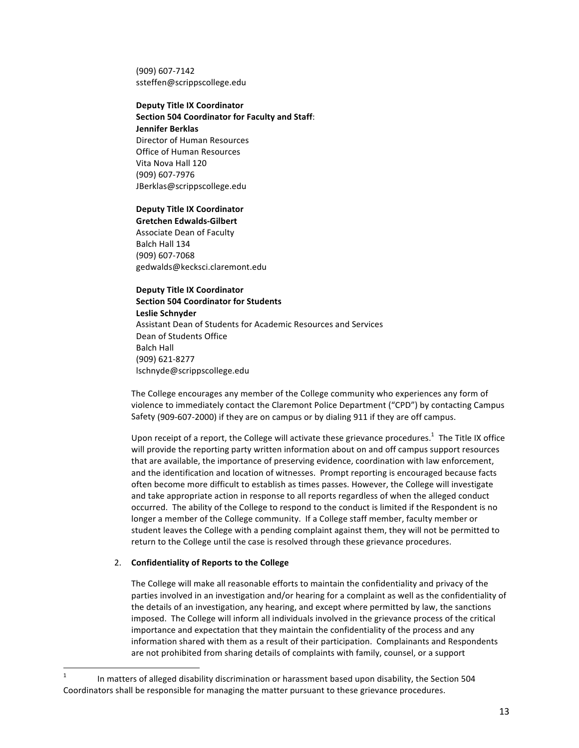(909) 607-7142 ssteffen@scrippscollege.edu

### **Deputy Title IX Coordinator Section 504 Coordinator for Faculty and Staff: Jennifer Berklas** Director of Human Resources

Office of Human Resources Vita Nova Hall 120 (909) 607-7976 JBerklas@scrippscollege.edu

### **Deputy Title IX Coordinator**

**Gretchen Edwalds-Gilbert** Associate Dean of Faculty Balch Hall 134 (909) 607-7068 gedwalds@kecksci.claremont.edu

### **Deputy Title IX Coordinator**

**Section 504 Coordinator for Students Leslie Schnyder** Assistant Dean of Students for Academic Resources and Services Dean of Students Office Balch Hall (909) 621-8277 lschnyde@scrippscollege.edu

The College encourages any member of the College community who experiences any form of violence to immediately contact the Claremont Police Department ("CPD") by contacting Campus Safety (909-607-2000) if they are on campus or by dialing 911 if they are off campus.

Upon receipt of a report, the College will activate these grievance procedures.<sup>1</sup> The Title IX office will provide the reporting party written information about on and off campus support resources that are available, the importance of preserving evidence, coordination with law enforcement, and the identification and location of witnesses. Prompt reporting is encouraged because facts often become more difficult to establish as times passes. However, the College will investigate and take appropriate action in response to all reports regardless of when the alleged conduct occurred. The ability of the College to respond to the conduct is limited if the Respondent is no longer a member of the College community. If a College staff member, faculty member or student leaves the College with a pending complaint against them, they will not be permitted to return to the College until the case is resolved through these grievance procedures.

### 2. **Confidentiality of Reports to the College**

<u> Andrew Maria (1989)</u>

The College will make all reasonable efforts to maintain the confidentiality and privacy of the parties involved in an investigation and/or hearing for a complaint as well as the confidentiality of the details of an investigation, any hearing, and except where permitted by law, the sanctions imposed. The College will inform all individuals involved in the grievance process of the critical importance and expectation that they maintain the confidentiality of the process and any information shared with them as a result of their participation. Complainants and Respondents are not prohibited from sharing details of complaints with family, counsel, or a support

<sup>&</sup>lt;sup>1</sup> In matters of alleged disability discrimination or harassment based upon disability, the Section 504 Coordinators shall be responsible for managing the matter pursuant to these grievance procedures.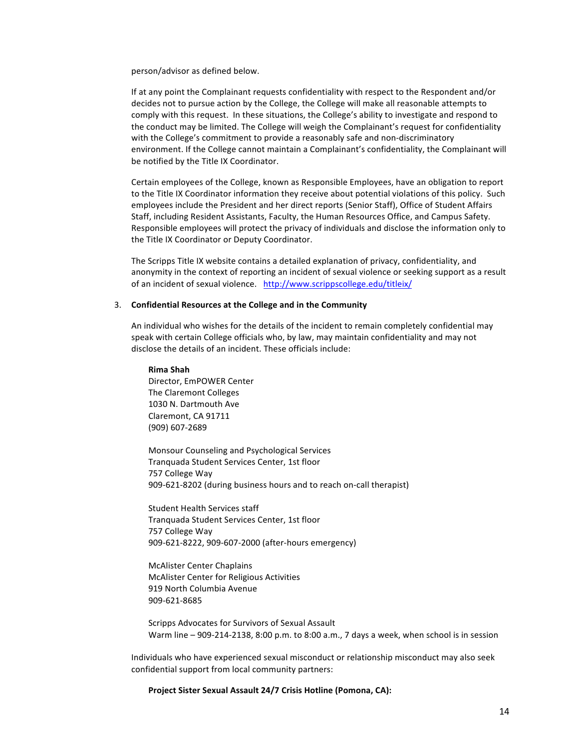person/advisor as defined below.

If at any point the Complainant requests confidentiality with respect to the Respondent and/or decides not to pursue action by the College, the College will make all reasonable attempts to comply with this request. In these situations, the College's ability to investigate and respond to the conduct may be limited. The College will weigh the Complainant's request for confidentiality with the College's commitment to provide a reasonably safe and non-discriminatory environment. If the College cannot maintain a Complainant's confidentiality, the Complainant will be notified by the Title IX Coordinator.

Certain employees of the College, known as Responsible Employees, have an obligation to report to the Title IX Coordinator information they receive about potential violations of this policy. Such employees include the President and her direct reports (Senior Staff), Office of Student Affairs Staff, including Resident Assistants, Faculty, the Human Resources Office, and Campus Safety. Responsible employees will protect the privacy of individuals and disclose the information only to the Title IX Coordinator or Deputy Coordinator.

The Scripps Title IX website contains a detailed explanation of privacy, confidentiality, and anonymity in the context of reporting an incident of sexual violence or seeking support as a result of an incident of sexual violence. http://www.scrippscollege.edu/titleix/

### 3. Confidential Resources at the College and in the Community

An individual who wishes for the details of the incident to remain completely confidential may speak with certain College officials who, by law, may maintain confidentiality and may not disclose the details of an incident. These officials include:

**Rima Shah**

Director, EmPOWER Center The Claremont Colleges 1030 N. Dartmouth Ave Claremont, CA 91711 (909) 607-2689

Monsour Counseling and Psychological Services Tranquada Student Services Center, 1st floor 757 College Way 909-621-8202 (during business hours and to reach on-call therapist)

Student Health Services staff Tranquada Student Services Center, 1st floor 757 College Way 909-621-8222, 909-607-2000 (after-hours emergency)

McAlister Center Chaplains McAlister Center for Religious Activities 919 North Columbia Avenue 909-621-8685

Scripps Advocates for Survivors of Sexual Assault Warm line  $-$  909-214-2138, 8:00 p.m. to 8:00 a.m., 7 days a week, when school is in session

Individuals who have experienced sexual misconduct or relationship misconduct may also seek confidential support from local community partners:

Project Sister Sexual Assault 24/7 Crisis Hotline (Pomona, CA):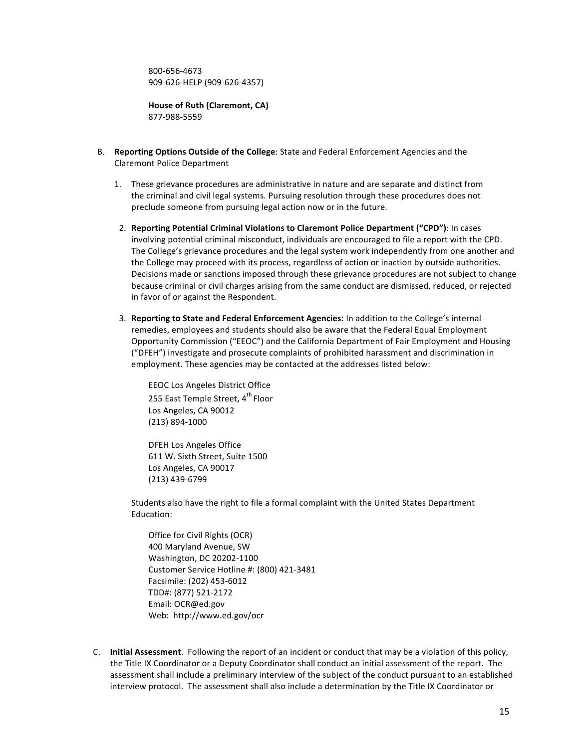800-656-4673 909-626-HELP (909-626-4357)

**House of Ruth (Claremont, CA)** 877-988-5559

- B. **Reporting Options Outside of the College**: State and Federal Enforcement Agencies and the Claremont Police Department
	- 1. These grievance procedures are administrative in nature and are separate and distinct from the criminal and civil legal systems. Pursuing resolution through these procedures does not preclude someone from pursuing legal action now or in the future.
	- 2. Reporting Potential Criminal Violations to Claremont Police Department ("CPD"): In cases involving potential criminal misconduct, individuals are encouraged to file a report with the CPD. The College's grievance procedures and the legal system work independently from one another and the College may proceed with its process, regardless of action or inaction by outside authorities. Decisions made or sanctions imposed through these grievance procedures are not subject to change because criminal or civil charges arising from the same conduct are dismissed, reduced, or rejected in favor of or against the Respondent.
	- 3. **Reporting to State and Federal Enforcement Agencies:** In addition to the College's internal remedies, employees and students should also be aware that the Federal Equal Employment Opportunity Commission ("EEOC") and the California Department of Fair Employment and Housing ("DFEH") investigate and prosecute complaints of prohibited harassment and discrimination in employment. These agencies may be contacted at the addresses listed below:

EEOC Los Angeles District Office 255 East Temple Street, 4<sup>th</sup> Floor Los Angeles, CA 90012 (213) 894-1000

DFEH Los Angeles Office 611 W. Sixth Street, Suite 1500 Los Angeles, CA 90017 (213) 439-6799

Students also have the right to file a formal complaint with the United States Department Education: 

Office for Civil Rights (OCR) 400 Maryland Avenue, SW Washington, DC 20202-1100 Customer Service Hotline #: (800) 421-3481 Facsimile: (202) 453-6012 TDD#: (877) 521-2172 Email: OCR@ed.gov Web: http://www.ed.gov/ocr

C. **Initial Assessment**. Following the report of an incident or conduct that may be a violation of this policy, the Title IX Coordinator or a Deputy Coordinator shall conduct an initial assessment of the report. The assessment shall include a preliminary interview of the subject of the conduct pursuant to an established interview protocol. The assessment shall also include a determination by the Title IX Coordinator or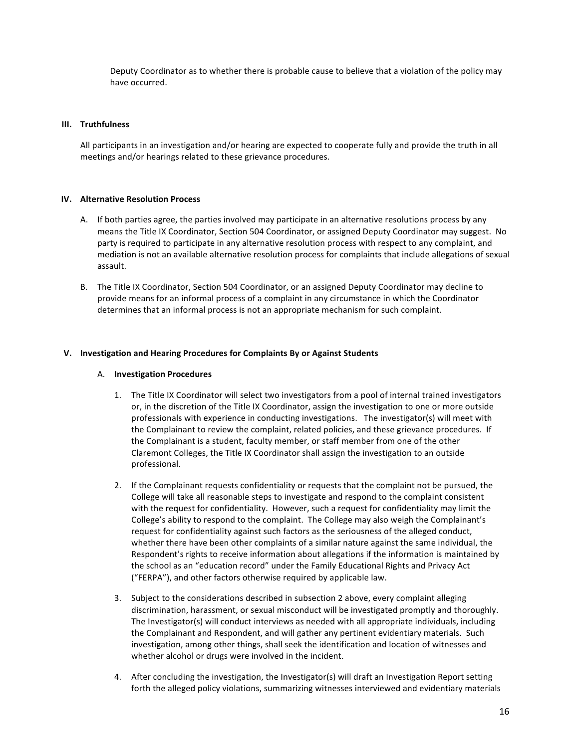Deputy Coordinator as to whether there is probable cause to believe that a violation of the policy may have occurred.

### **III. Truthfulness**

All participants in an investigation and/or hearing are expected to cooperate fully and provide the truth in all meetings and/or hearings related to these grievance procedures.

### **IV.** Alternative Resolution Process

- A. If both parties agree, the parties involved may participate in an alternative resolutions process by any means the Title IX Coordinator, Section 504 Coordinator, or assigned Deputy Coordinator may suggest. No party is required to participate in any alternative resolution process with respect to any complaint, and mediation is not an available alternative resolution process for complaints that include allegations of sexual assault.
- B. The Title IX Coordinator, Section 504 Coordinator, or an assigned Deputy Coordinator may decline to provide means for an informal process of a complaint in any circumstance in which the Coordinator determines that an informal process is not an appropriate mechanism for such complaint.

### **V. Investigation and Hearing Procedures for Complaints By or Against Students**

### A. **Investigation Procedures**

- 1. The Title IX Coordinator will select two investigators from a pool of internal trained investigators or, in the discretion of the Title IX Coordinator, assign the investigation to one or more outside professionals with experience in conducting investigations. The investigator(s) will meet with the Complainant to review the complaint, related policies, and these grievance procedures. If the Complainant is a student, faculty member, or staff member from one of the other Claremont Colleges, the Title IX Coordinator shall assign the investigation to an outside professional.
- 2. If the Complainant requests confidentiality or requests that the complaint not be pursued, the College will take all reasonable steps to investigate and respond to the complaint consistent with the request for confidentiality. However, such a request for confidentiality may limit the College's ability to respond to the complaint. The College may also weigh the Complainant's request for confidentiality against such factors as the seriousness of the alleged conduct, whether there have been other complaints of a similar nature against the same individual, the Respondent's rights to receive information about allegations if the information is maintained by the school as an "education record" under the Family Educational Rights and Privacy Act ("FERPA"), and other factors otherwise required by applicable law.
- 3. Subject to the considerations described in subsection 2 above, every complaint alleging discrimination, harassment, or sexual misconduct will be investigated promptly and thoroughly. The Investigator(s) will conduct interviews as needed with all appropriate individuals, including the Complainant and Respondent, and will gather any pertinent evidentiary materials. Such investigation, among other things, shall seek the identification and location of witnesses and whether alcohol or drugs were involved in the incident.
- 4. After concluding the investigation, the Investigator(s) will draft an Investigation Report setting forth the alleged policy violations, summarizing witnesses interviewed and evidentiary materials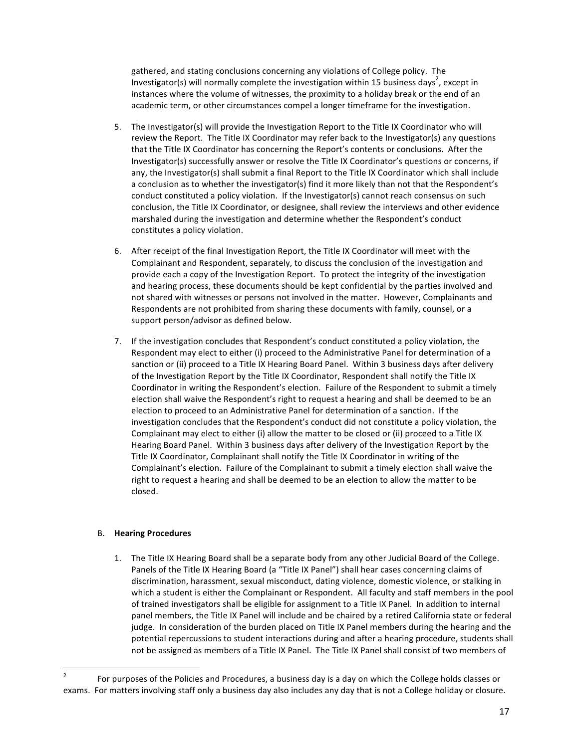gathered, and stating conclusions concerning any violations of College policy. The Investigator(s) will normally complete the investigation within 15 business days<sup>2</sup>, except in instances where the volume of witnesses, the proximity to a holiday break or the end of an academic term, or other circumstances compel a longer timeframe for the investigation.

- 5. The Investigator(s) will provide the Investigation Report to the Title IX Coordinator who will review the Report. The Title IX Coordinator may refer back to the Investigator(s) any questions that the Title IX Coordinator has concerning the Report's contents or conclusions. After the Investigator(s) successfully answer or resolve the Title IX Coordinator's questions or concerns, if any, the Investigator(s) shall submit a final Report to the Title IX Coordinator which shall include a conclusion as to whether the investigator(s) find it more likely than not that the Respondent's conduct constituted a policy violation. If the Investigator(s) cannot reach consensus on such conclusion, the Title IX Coordinator, or designee, shall review the interviews and other evidence marshaled during the investigation and determine whether the Respondent's conduct constitutes a policy violation.
- 6. After receipt of the final Investigation Report, the Title IX Coordinator will meet with the Complainant and Respondent, separately, to discuss the conclusion of the investigation and provide each a copy of the Investigation Report. To protect the integrity of the investigation and hearing process, these documents should be kept confidential by the parties involved and not shared with witnesses or persons not involved in the matter. However, Complainants and Respondents are not prohibited from sharing these documents with family, counsel, or a support person/advisor as defined below.
- 7. If the investigation concludes that Respondent's conduct constituted a policy violation, the Respondent may elect to either (i) proceed to the Administrative Panel for determination of a sanction or (ii) proceed to a Title IX Hearing Board Panel. Within 3 business days after delivery of the Investigation Report by the Title IX Coordinator, Respondent shall notify the Title IX Coordinator in writing the Respondent's election. Failure of the Respondent to submit a timely election shall waive the Respondent's right to request a hearing and shall be deemed to be an election to proceed to an Administrative Panel for determination of a sanction. If the investigation concludes that the Respondent's conduct did not constitute a policy violation, the Complainant may elect to either (i) allow the matter to be closed or (ii) proceed to a Title IX Hearing Board Panel. Within 3 business days after delivery of the Investigation Report by the Title IX Coordinator, Complainant shall notify the Title IX Coordinator in writing of the Complainant's election. Failure of the Complainant to submit a timely election shall waive the right to request a hearing and shall be deemed to be an election to allow the matter to be closed.

### B. **Hearing Procedures**

<u> Andrew Maria (1989)</u>

1. The Title IX Hearing Board shall be a separate body from any other Judicial Board of the College. Panels of the Title IX Hearing Board (a "Title IX Panel") shall hear cases concerning claims of discrimination, harassment, sexual misconduct, dating violence, domestic violence, or stalking in which a student is either the Complainant or Respondent. All faculty and staff members in the pool of trained investigators shall be eligible for assignment to a Title IX Panel. In addition to internal panel members, the Title IX Panel will include and be chaired by a retired California state or federal judge. In consideration of the burden placed on Title IX Panel members during the hearing and the potential repercussions to student interactions during and after a hearing procedure, students shall not be assigned as members of a Title IX Panel. The Title IX Panel shall consist of two members of

<sup>&</sup>lt;sup>2</sup> For purposes of the Policies and Procedures, a business day is a day on which the College holds classes or exams. For matters involving staff only a business day also includes any day that is not a College holiday or closure.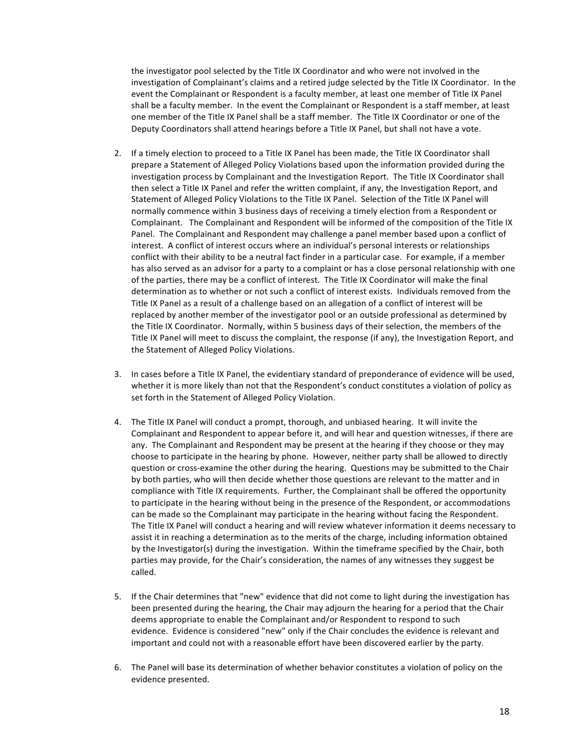the investigator pool selected by the Title IX Coordinator and who were not involved in the investigation of Complainant's claims and a retired judge selected by the Title IX Coordinator. In the event the Complainant or Respondent is a faculty member, at least one member of Title IX Panel shall be a faculty member. In the event the Complainant or Respondent is a staff member, at least one member of the Title IX Panel shall be a staff member. The Title IX Coordinator or one of the Deputy Coordinators shall attend hearings before a Title IX Panel, but shall not have a vote.

- 2. If a timely election to proceed to a Title IX Panel has been made, the Title IX Coordinator shall prepare a Statement of Alleged Policy Violations based upon the information provided during the investigation process by Complainant and the Investigation Report. The Title IX Coordinator shall then select a Title IX Panel and refer the written complaint, if any, the Investigation Report, and Statement of Alleged Policy Violations to the Title IX Panel. Selection of the Title IX Panel will normally commence within 3 business days of receiving a timely election from a Respondent or Complainant. The Complainant and Respondent will be informed of the composition of the Title IX Panel. The Complainant and Respondent may challenge a panel member based upon a conflict of interest. A conflict of interest occurs where an individual's personal interests or relationships conflict with their ability to be a neutral fact finder in a particular case. For example, if a member has also served as an advisor for a party to a complaint or has a close personal relationship with one of the parties, there may be a conflict of interest. The Title IX Coordinator will make the final determination as to whether or not such a conflict of interest exists. Individuals removed from the Title IX Panel as a result of a challenge based on an allegation of a conflict of interest will be replaced by another member of the investigator pool or an outside professional as determined by the Title IX Coordinator. Normally, within 5 business days of their selection, the members of the Title IX Panel will meet to discuss the complaint, the response (if any), the Investigation Report, and the Statement of Alleged Policy Violations.
- 3. In cases before a Title IX Panel, the evidentiary standard of preponderance of evidence will be used, whether it is more likely than not that the Respondent's conduct constitutes a violation of policy as set forth in the Statement of Alleged Policy Violation.
- 4. The Title IX Panel will conduct a prompt, thorough, and unbiased hearing. It will invite the Complainant and Respondent to appear before it, and will hear and question witnesses, if there are any. The Complainant and Respondent may be present at the hearing if they choose or they may choose to participate in the hearing by phone. However, neither party shall be allowed to directly question or cross-examine the other during the hearing. Questions may be submitted to the Chair by both parties, who will then decide whether those questions are relevant to the matter and in compliance with Title IX requirements. Further, the Complainant shall be offered the opportunity to participate in the hearing without being in the presence of the Respondent, or accommodations can be made so the Complainant may participate in the hearing without facing the Respondent. The Title IX Panel will conduct a hearing and will review whatever information it deems necessary to assist it in reaching a determination as to the merits of the charge, including information obtained by the Investigator(s) during the investigation. Within the timeframe specified by the Chair, both parties may provide, for the Chair's consideration, the names of any witnesses they suggest be called.
- 5. If the Chair determines that "new" evidence that did not come to light during the investigation has been presented during the hearing, the Chair may adjourn the hearing for a period that the Chair deems appropriate to enable the Complainant and/or Respondent to respond to such evidence. Evidence is considered "new" only if the Chair concludes the evidence is relevant and important and could not with a reasonable effort have been discovered earlier by the party.
- 6. The Panel will base its determination of whether behavior constitutes a violation of policy on the evidence presented.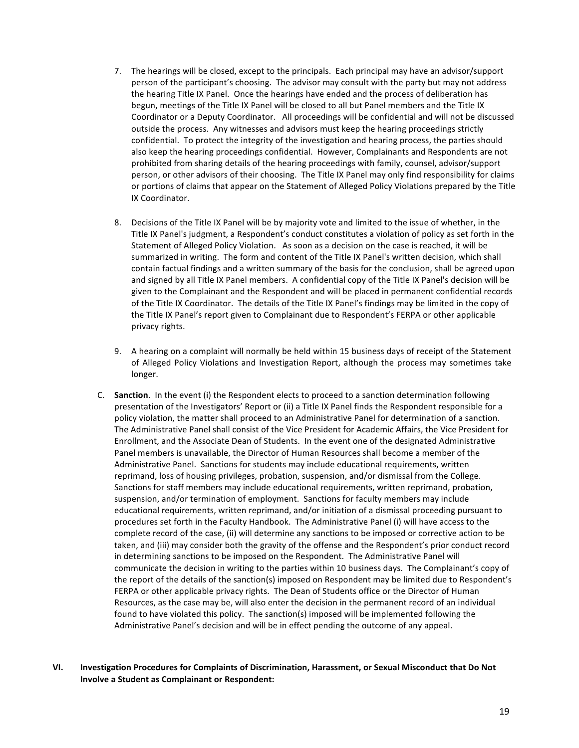- 7. The hearings will be closed, except to the principals. Each principal may have an advisor/support person of the participant's choosing. The advisor may consult with the party but may not address the hearing Title IX Panel. Once the hearings have ended and the process of deliberation has begun, meetings of the Title IX Panel will be closed to all but Panel members and the Title IX Coordinator or a Deputy Coordinator. All proceedings will be confidential and will not be discussed outside the process. Any witnesses and advisors must keep the hearing proceedings strictly confidential. To protect the integrity of the investigation and hearing process, the parties should also keep the hearing proceedings confidential. However, Complainants and Respondents are not prohibited from sharing details of the hearing proceedings with family, counsel, advisor/support person, or other advisors of their choosing. The Title IX Panel may only find responsibility for claims or portions of claims that appear on the Statement of Alleged Policy Violations prepared by the Title IX Coordinator.
- 8. Decisions of the Title IX Panel will be by majority vote and limited to the issue of whether, in the Title IX Panel's judgment, a Respondent's conduct constitutes a violation of policy as set forth in the Statement of Alleged Policy Violation. As soon as a decision on the case is reached, it will be summarized in writing. The form and content of the Title IX Panel's written decision, which shall contain factual findings and a written summary of the basis for the conclusion, shall be agreed upon and signed by all Title IX Panel members. A confidential copy of the Title IX Panel's decision will be given to the Complainant and the Respondent and will be placed in permanent confidential records of the Title IX Coordinator. The details of the Title IX Panel's findings may be limited in the copy of the Title IX Panel's report given to Complainant due to Respondent's FERPA or other applicable privacy rights.
- 9. A hearing on a complaint will normally be held within 15 business days of receipt of the Statement of Alleged Policy Violations and Investigation Report, although the process may sometimes take longer.
- C. **Sanction**. In the event (i) the Respondent elects to proceed to a sanction determination following presentation of the Investigators' Report or (ii) a Title IX Panel finds the Respondent responsible for a policy violation, the matter shall proceed to an Administrative Panel for determination of a sanction. The Administrative Panel shall consist of the Vice President for Academic Affairs, the Vice President for Enrollment, and the Associate Dean of Students. In the event one of the designated Administrative Panel members is unavailable, the Director of Human Resources shall become a member of the Administrative Panel. Sanctions for students may include educational requirements, written reprimand, loss of housing privileges, probation, suspension, and/or dismissal from the College. Sanctions for staff members may include educational requirements, written reprimand, probation, suspension, and/or termination of employment. Sanctions for faculty members may include educational requirements, written reprimand, and/or initiation of a dismissal proceeding pursuant to procedures set forth in the Faculty Handbook. The Administrative Panel (i) will have access to the complete record of the case, (ii) will determine any sanctions to be imposed or corrective action to be taken, and (iii) may consider both the gravity of the offense and the Respondent's prior conduct record in determining sanctions to be imposed on the Respondent. The Administrative Panel will communicate the decision in writing to the parties within 10 business days. The Complainant's copy of the report of the details of the sanction(s) imposed on Respondent may be limited due to Respondent's FERPA or other applicable privacy rights. The Dean of Students office or the Director of Human Resources, as the case may be, will also enter the decision in the permanent record of an individual found to have violated this policy. The sanction(s) imposed will be implemented following the Administrative Panel's decision and will be in effect pending the outcome of any appeal.
- **VI. Investigation Procedures for Complaints of Discrimination, Harassment, or Sexual Misconduct that Do Not Involve a Student as Complainant or Respondent:**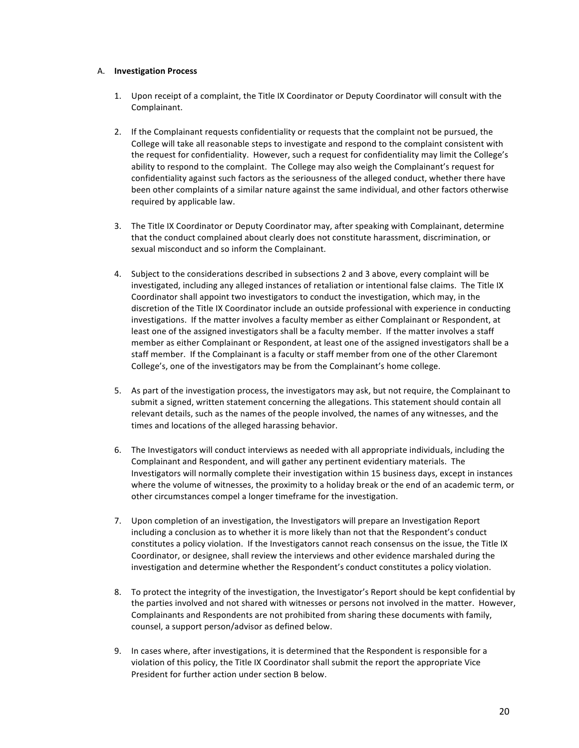### A. **Investigation Process**

- 1. Upon receipt of a complaint, the Title IX Coordinator or Deputy Coordinator will consult with the Complainant.
- 2. If the Complainant requests confidentiality or requests that the complaint not be pursued, the College will take all reasonable steps to investigate and respond to the complaint consistent with the request for confidentiality. However, such a request for confidentiality may limit the College's ability to respond to the complaint. The College may also weigh the Complainant's request for confidentiality against such factors as the seriousness of the alleged conduct, whether there have been other complaints of a similar nature against the same individual, and other factors otherwise required by applicable law.
- 3. The Title IX Coordinator or Deputy Coordinator may, after speaking with Complainant, determine that the conduct complained about clearly does not constitute harassment, discrimination, or sexual misconduct and so inform the Complainant.
- 4. Subject to the considerations described in subsections 2 and 3 above, every complaint will be investigated, including any alleged instances of retaliation or intentional false claims. The Title IX Coordinator shall appoint two investigators to conduct the investigation, which may, in the discretion of the Title IX Coordinator include an outside professional with experience in conducting investigations. If the matter involves a faculty member as either Complainant or Respondent, at least one of the assigned investigators shall be a faculty member. If the matter involves a staff member as either Complainant or Respondent, at least one of the assigned investigators shall be a staff member. If the Complainant is a faculty or staff member from one of the other Claremont College's, one of the investigators may be from the Complainant's home college.
- 5. As part of the investigation process, the investigators may ask, but not require, the Complainant to submit a signed, written statement concerning the allegations. This statement should contain all relevant details, such as the names of the people involved, the names of any witnesses, and the times and locations of the alleged harassing behavior.
- 6. The Investigators will conduct interviews as needed with all appropriate individuals, including the Complainant and Respondent, and will gather any pertinent evidentiary materials. The Investigators will normally complete their investigation within 15 business days, except in instances where the volume of witnesses, the proximity to a holiday break or the end of an academic term, or other circumstances compel a longer timeframe for the investigation.
- 7. Upon completion of an investigation, the Investigators will prepare an Investigation Report including a conclusion as to whether it is more likely than not that the Respondent's conduct constitutes a policy violation. If the Investigators cannot reach consensus on the issue, the Title IX Coordinator, or designee, shall review the interviews and other evidence marshaled during the investigation and determine whether the Respondent's conduct constitutes a policy violation.
- 8. To protect the integrity of the investigation, the Investigator's Report should be kept confidential by the parties involved and not shared with witnesses or persons not involved in the matter. However, Complainants and Respondents are not prohibited from sharing these documents with family, counsel, a support person/advisor as defined below.
- 9. In cases where, after investigations, it is determined that the Respondent is responsible for a violation of this policy, the Title IX Coordinator shall submit the report the appropriate Vice President for further action under section B below.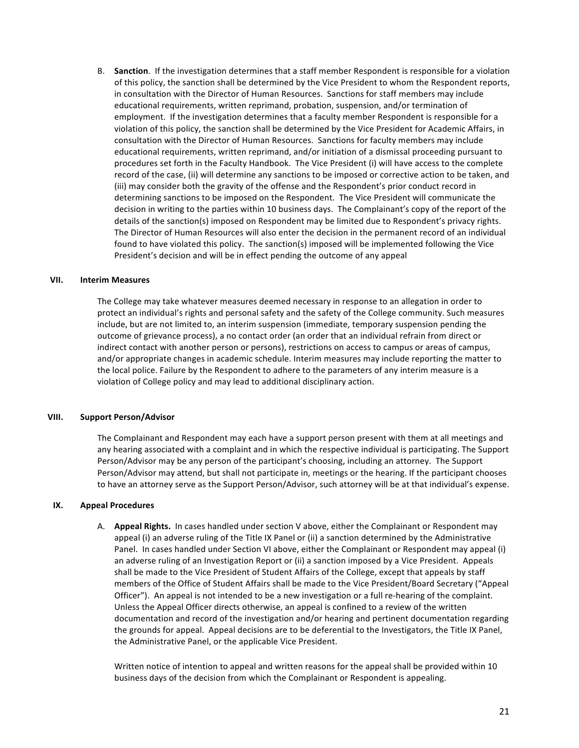B. Sanction. If the investigation determines that a staff member Respondent is responsible for a violation of this policy, the sanction shall be determined by the Vice President to whom the Respondent reports, in consultation with the Director of Human Resources. Sanctions for staff members may include educational requirements, written reprimand, probation, suspension, and/or termination of employment. If the investigation determines that a faculty member Respondent is responsible for a violation of this policy, the sanction shall be determined by the Vice President for Academic Affairs, in consultation with the Director of Human Resources. Sanctions for faculty members may include educational requirements, written reprimand, and/or initiation of a dismissal proceeding pursuant to procedures set forth in the Faculty Handbook. The Vice President (i) will have access to the complete record of the case, (ii) will determine any sanctions to be imposed or corrective action to be taken, and (iii) may consider both the gravity of the offense and the Respondent's prior conduct record in determining sanctions to be imposed on the Respondent. The Vice President will communicate the decision in writing to the parties within 10 business days. The Complainant's copy of the report of the details of the sanction(s) imposed on Respondent may be limited due to Respondent's privacy rights. The Director of Human Resources will also enter the decision in the permanent record of an individual found to have violated this policy. The sanction(s) imposed will be implemented following the Vice President's decision and will be in effect pending the outcome of any appeal

### **VII. Interim Measures**

The College may take whatever measures deemed necessary in response to an allegation in order to protect an individual's rights and personal safety and the safety of the College community. Such measures include, but are not limited to, an interim suspension (immediate, temporary suspension pending the outcome of grievance process), a no contact order (an order that an individual refrain from direct or indirect contact with another person or persons), restrictions on access to campus or areas of campus, and/or appropriate changes in academic schedule. Interim measures may include reporting the matter to the local police. Failure by the Respondent to adhere to the parameters of any interim measure is a violation of College policy and may lead to additional disciplinary action.

### **VIII.** Support Person/Advisor

The Complainant and Respondent may each have a support person present with them at all meetings and any hearing associated with a complaint and in which the respective individual is participating. The Support Person/Advisor may be any person of the participant's choosing, including an attorney. The Support Person/Advisor may attend, but shall not participate in, meetings or the hearing. If the participant chooses to have an attorney serve as the Support Person/Advisor, such attorney will be at that individual's expense.

### **IX. Appeal Procedures**

A. **Appeal Rights.** In cases handled under section V above, either the Complainant or Respondent may appeal (i) an adverse ruling of the Title IX Panel or (ii) a sanction determined by the Administrative Panel. In cases handled under Section VI above, either the Complainant or Respondent may appeal (i) an adverse ruling of an Investigation Report or (ii) a sanction imposed by a Vice President. Appeals shall be made to the Vice President of Student Affairs of the College, except that appeals by staff members of the Office of Student Affairs shall be made to the Vice President/Board Secretary ("Appeal Officer"). An appeal is not intended to be a new investigation or a full re-hearing of the complaint. Unless the Appeal Officer directs otherwise, an appeal is confined to a review of the written documentation and record of the investigation and/or hearing and pertinent documentation regarding the grounds for appeal. Appeal decisions are to be deferential to the Investigators, the Title IX Panel, the Administrative Panel, or the applicable Vice President.

Written notice of intention to appeal and written reasons for the appeal shall be provided within 10 business days of the decision from which the Complainant or Respondent is appealing.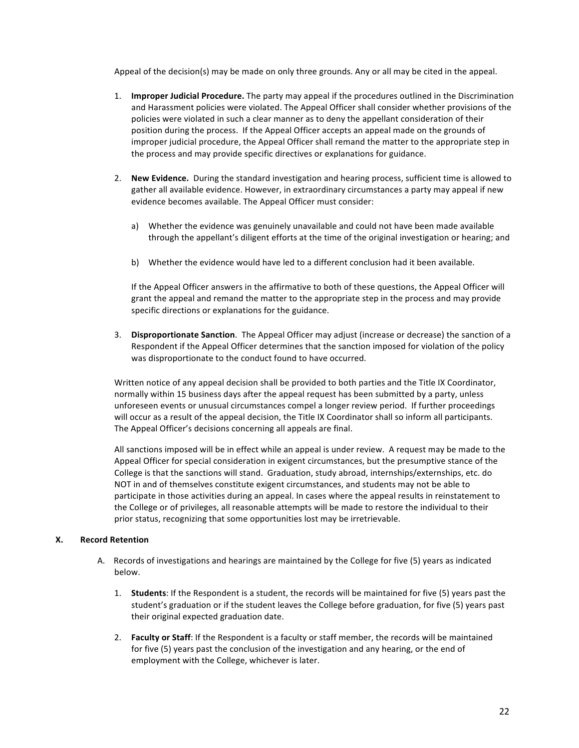Appeal of the decision(s) may be made on only three grounds. Any or all may be cited in the appeal.

- 1. **Improper Judicial Procedure.** The party may appeal if the procedures outlined in the Discrimination and Harassment policies were violated. The Appeal Officer shall consider whether provisions of the policies were violated in such a clear manner as to deny the appellant consideration of their position during the process. If the Appeal Officer accepts an appeal made on the grounds of improper judicial procedure, the Appeal Officer shall remand the matter to the appropriate step in the process and may provide specific directives or explanations for guidance.
- 2. **New Evidence.** During the standard investigation and hearing process, sufficient time is allowed to gather all available evidence. However, in extraordinary circumstances a party may appeal if new evidence becomes available. The Appeal Officer must consider:
	- a) Whether the evidence was genuinely unavailable and could not have been made available through the appellant's diligent efforts at the time of the original investigation or hearing; and
	- b) Whether the evidence would have led to a different conclusion had it been available.

If the Appeal Officer answers in the affirmative to both of these questions, the Appeal Officer will grant the appeal and remand the matter to the appropriate step in the process and may provide specific directions or explanations for the guidance.

3. **Disproportionate Sanction**. The Appeal Officer may adjust (increase or decrease) the sanction of a Respondent if the Appeal Officer determines that the sanction imposed for violation of the policy was disproportionate to the conduct found to have occurred.

Written notice of any appeal decision shall be provided to both parties and the Title IX Coordinator, normally within 15 business days after the appeal request has been submitted by a party, unless unforeseen events or unusual circumstances compel a longer review period. If further proceedings will occur as a result of the appeal decision, the Title IX Coordinator shall so inform all participants. The Appeal Officer's decisions concerning all appeals are final.

All sanctions imposed will be in effect while an appeal is under review. A request may be made to the Appeal Officer for special consideration in exigent circumstances, but the presumptive stance of the College is that the sanctions will stand. Graduation, study abroad, internships/externships, etc. do NOT in and of themselves constitute exigent circumstances, and students may not be able to participate in those activities during an appeal. In cases where the appeal results in reinstatement to the College or of privileges, all reasonable attempts will be made to restore the individual to their prior status, recognizing that some opportunities lost may be irretrievable.

### **X. Record Retention**

- A. Records of investigations and hearings are maintained by the College for five (5) years as indicated below.
	- 1. **Students**: If the Respondent is a student, the records will be maintained for five (5) years past the student's graduation or if the student leaves the College before graduation, for five (5) years past their original expected graduation date.
	- 2. **Faculty or Staff**: If the Respondent is a faculty or staff member, the records will be maintained for five (5) years past the conclusion of the investigation and any hearing, or the end of employment with the College, whichever is later.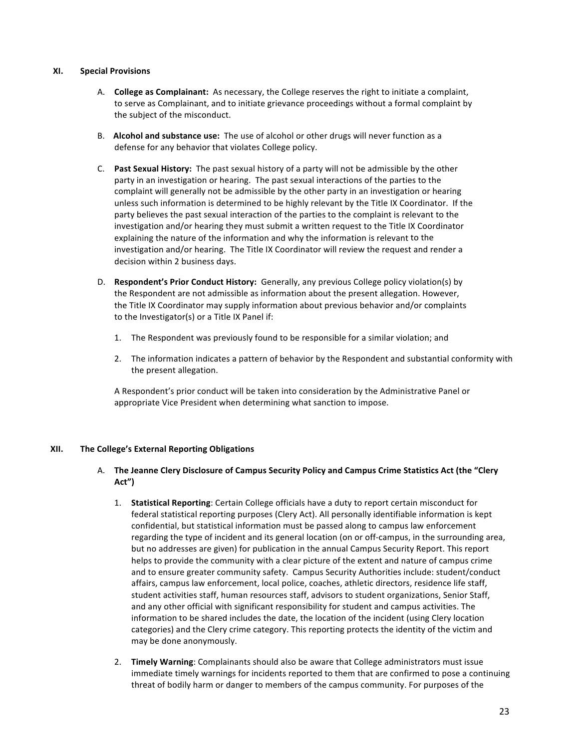### **XI. Special Provisions**

- A. **College as Complainant:** As necessary, the College reserves the right to initiate a complaint, to serve as Complainant, and to initiate grievance proceedings without a formal complaint by the subject of the misconduct.
- B. Alcohol and substance use: The use of alcohol or other drugs will never function as a defense for any behavior that violates College policy.
- C. **Past Sexual History:** The past sexual history of a party will not be admissible by the other party in an investigation or hearing. The past sexual interactions of the parties to the complaint will generally not be admissible by the other party in an investigation or hearing unless such information is determined to be highly relevant by the Title IX Coordinator. If the party believes the past sexual interaction of the parties to the complaint is relevant to the investigation and/or hearing they must submit a written request to the Title IX Coordinator explaining the nature of the information and why the information is relevant to the investigation and/or hearing. The Title IX Coordinator will review the request and render a decision within 2 business days.
- D. Respondent's Prior Conduct History: Generally, any previous College policy violation(s) by the Respondent are not admissible as information about the present allegation. However, the Title IX Coordinator may supply information about previous behavior and/or complaints to the Investigator(s) or a Title IX Panel if:
	- 1. The Respondent was previously found to be responsible for a similar violation; and
	- 2. The information indicates a pattern of behavior by the Respondent and substantial conformity with the present allegation.

A Respondent's prior conduct will be taken into consideration by the Administrative Panel or appropriate Vice President when determining what sanction to impose.

### **XII. The College's External Reporting Obligations**

### A. The Jeanne Clery Disclosure of Campus Security Policy and Campus Crime Statistics Act (the "Clery **Act")**

- 1. **Statistical Reporting**: Certain College officials have a duty to report certain misconduct for federal statistical reporting purposes (Clery Act). All personally identifiable information is kept confidential, but statistical information must be passed along to campus law enforcement regarding the type of incident and its general location (on or off-campus, in the surrounding area, but no addresses are given) for publication in the annual Campus Security Report. This report helps to provide the community with a clear picture of the extent and nature of campus crime and to ensure greater community safety. Campus Security Authorities include: student/conduct affairs, campus law enforcement, local police, coaches, athletic directors, residence life staff, student activities staff, human resources staff, advisors to student organizations, Senior Staff, and any other official with significant responsibility for student and campus activities. The information to be shared includes the date, the location of the incident (using Clery location categories) and the Clery crime category. This reporting protects the identity of the victim and may be done anonymously.
- 2. **Timely Warning**: Complainants should also be aware that College administrators must issue immediate timely warnings for incidents reported to them that are confirmed to pose a continuing threat of bodily harm or danger to members of the campus community. For purposes of the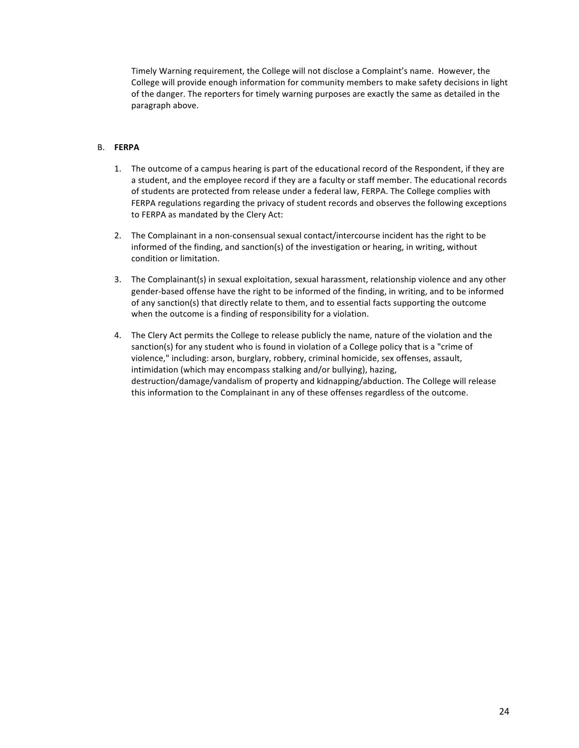Timely Warning requirement, the College will not disclose a Complaint's name. However, the College will provide enough information for community members to make safety decisions in light of the danger. The reporters for timely warning purposes are exactly the same as detailed in the paragraph above.

### B. **FERPA**

- 1. The outcome of a campus hearing is part of the educational record of the Respondent, if they are a student, and the employee record if they are a faculty or staff member. The educational records of students are protected from release under a federal law, FERPA. The College complies with FERPA regulations regarding the privacy of student records and observes the following exceptions to FERPA as mandated by the Clery Act:
- 2. The Complainant in a non-consensual sexual contact/intercourse incident has the right to be informed of the finding, and sanction(s) of the investigation or hearing, in writing, without condition or limitation.
- 3. The Complainant(s) in sexual exploitation, sexual harassment, relationship violence and any other gender-based offense have the right to be informed of the finding, in writing, and to be informed of any sanction(s) that directly relate to them, and to essential facts supporting the outcome when the outcome is a finding of responsibility for a violation.
- 4. The Clery Act permits the College to release publicly the name, nature of the violation and the sanction(s) for any student who is found in violation of a College policy that is a "crime of violence," including: arson, burglary, robbery, criminal homicide, sex offenses, assault, intimidation (which may encompass stalking and/or bullying), hazing, destruction/damage/vandalism of property and kidnapping/abduction. The College will release this information to the Complainant in any of these offenses regardless of the outcome.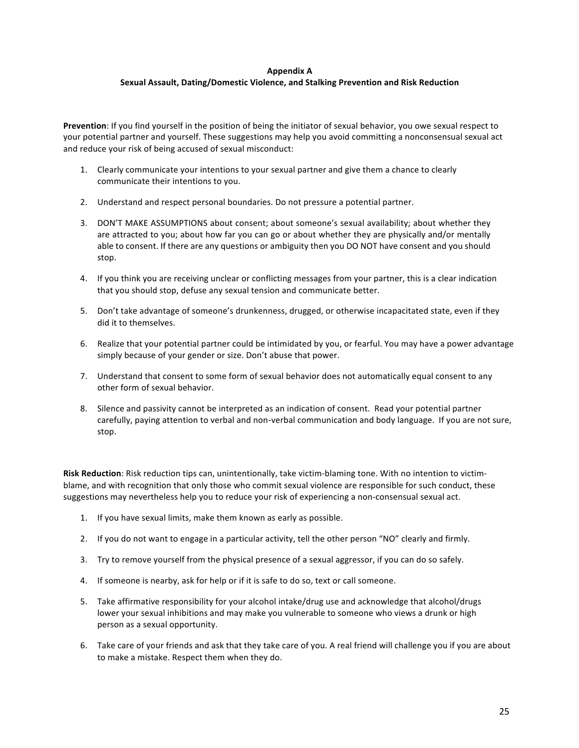### **Appendix A Sexual Assault, Dating/Domestic Violence, and Stalking Prevention and Risk Reduction**

**Prevention**: If you find yourself in the position of being the initiator of sexual behavior, you owe sexual respect to your potential partner and yourself. These suggestions may help you avoid committing a nonconsensual sexual act and reduce your risk of being accused of sexual misconduct:

- 1. Clearly communicate your intentions to your sexual partner and give them a chance to clearly communicate their intentions to you.
- 2. Understand and respect personal boundaries. Do not pressure a potential partner.
- 3. DON'T MAKE ASSUMPTIONS about consent; about someone's sexual availability; about whether they are attracted to you; about how far you can go or about whether they are physically and/or mentally able to consent. If there are any questions or ambiguity then you DO NOT have consent and you should stop.
- 4. If you think you are receiving unclear or conflicting messages from your partner, this is a clear indication that you should stop, defuse any sexual tension and communicate better.
- 5. Don't take advantage of someone's drunkenness, drugged, or otherwise incapacitated state, even if they did it to themselves.
- 6. Realize that your potential partner could be intimidated by you, or fearful. You may have a power advantage simply because of your gender or size. Don't abuse that power.
- 7. Understand that consent to some form of sexual behavior does not automatically equal consent to any other form of sexual behavior.
- 8. Silence and passivity cannot be interpreted as an indication of consent. Read your potential partner carefully, paying attention to verbal and non-verbal communication and body language. If you are not sure, stop.

**Risk Reduction**: Risk reduction tips can, unintentionally, take victim-blaming tone. With no intention to victimblame, and with recognition that only those who commit sexual violence are responsible for such conduct, these suggestions may nevertheless help you to reduce your risk of experiencing a non-consensual sexual act.

- 1. If you have sexual limits, make them known as early as possible.
- 2. If you do not want to engage in a particular activity, tell the other person "NO" clearly and firmly.
- 3. Try to remove yourself from the physical presence of a sexual aggressor, if you can do so safely.
- 4. If someone is nearby, ask for help or if it is safe to do so, text or call someone.
- 5. Take affirmative responsibility for your alcohol intake/drug use and acknowledge that alcohol/drugs lower your sexual inhibitions and may make you vulnerable to someone who views a drunk or high person as a sexual opportunity.
- 6. Take care of your friends and ask that they take care of you. A real friend will challenge you if you are about to make a mistake. Respect them when they do.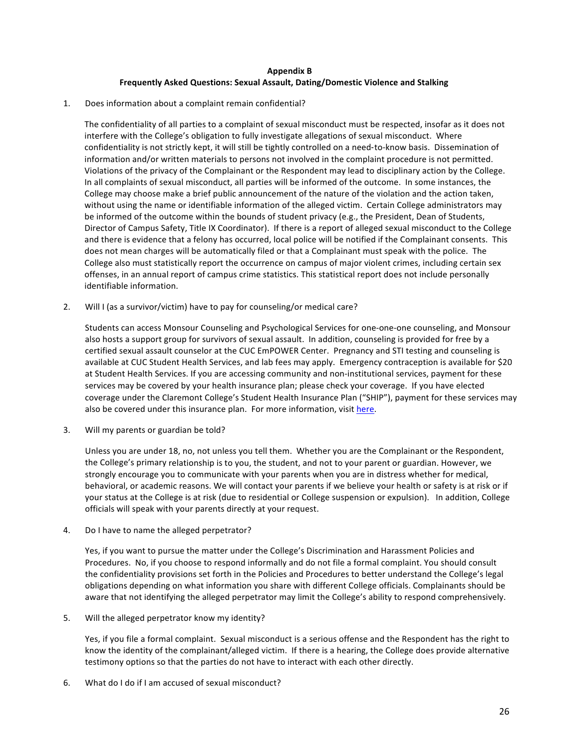### **Appendix B Frequently Asked Questions: Sexual Assault, Dating/Domestic Violence and Stalking**

1. Does information about a complaint remain confidential?

The confidentiality of all parties to a complaint of sexual misconduct must be respected, insofar as it does not interfere with the College's obligation to fully investigate allegations of sexual misconduct. Where confidentiality is not strictly kept, it will still be tightly controlled on a need-to-know basis. Dissemination of information and/or written materials to persons not involved in the complaint procedure is not permitted. Violations of the privacy of the Complainant or the Respondent may lead to disciplinary action by the College. In all complaints of sexual misconduct, all parties will be informed of the outcome. In some instances, the College may choose make a brief public announcement of the nature of the violation and the action taken, without using the name or identifiable information of the alleged victim. Certain College administrators may be informed of the outcome within the bounds of student privacy (e.g., the President, Dean of Students, Director of Campus Safety, Title IX Coordinator). If there is a report of alleged sexual misconduct to the College and there is evidence that a felony has occurred, local police will be notified if the Complainant consents. This does not mean charges will be automatically filed or that a Complainant must speak with the police. The College also must statistically report the occurrence on campus of major violent crimes, including certain sex offenses, in an annual report of campus crime statistics. This statistical report does not include personally identifiable information.

2. Will I (as a survivor/victim) have to pay for counseling/or medical care?

Students can access Monsour Counseling and Psychological Services for one-one-one counseling, and Monsour also hosts a support group for survivors of sexual assault. In addition, counseling is provided for free by a certified sexual assault counselor at the CUC EmPOWER Center. Pregnancy and STI testing and counseling is available at CUC Student Health Services, and lab fees may apply. Emergency contraception is available for \$20 at Student Health Services. If you are accessing community and non-institutional services, payment for these services may be covered by your health insurance plan; please check your coverage. If you have elected coverage under the Claremont College's Student Health Insurance Plan ("SHIP"), payment for these services may also be covered under this insurance plan. For more information, visit here.

3. Will my parents or guardian be told?

Unless you are under 18, no, not unless you tell them. Whether you are the Complainant or the Respondent, the College's primary relationship is to you, the student, and not to your parent or guardian. However, we strongly encourage you to communicate with your parents when you are in distress whether for medical, behavioral, or academic reasons. We will contact your parents if we believe your health or safety is at risk or if your status at the College is at risk (due to residential or College suspension or expulsion). In addition, College officials will speak with your parents directly at your request.

4. Do I have to name the alleged perpetrator?

Yes, if you want to pursue the matter under the College's Discrimination and Harassment Policies and Procedures. No, if you choose to respond informally and do not file a formal complaint. You should consult the confidentiality provisions set forth in the Policies and Procedures to better understand the College's legal obligations depending on what information you share with different College officials. Complainants should be aware that not identifying the alleged perpetrator may limit the College's ability to respond comprehensively.

5. Will the alleged perpetrator know my identity?

Yes, if you file a formal complaint. Sexual misconduct is a serious offense and the Respondent has the right to know the identity of the complainant/alleged victim. If there is a hearing, the College does provide alternative testimony options so that the parties do not have to interact with each other directly.

6. What do I do if I am accused of sexual misconduct?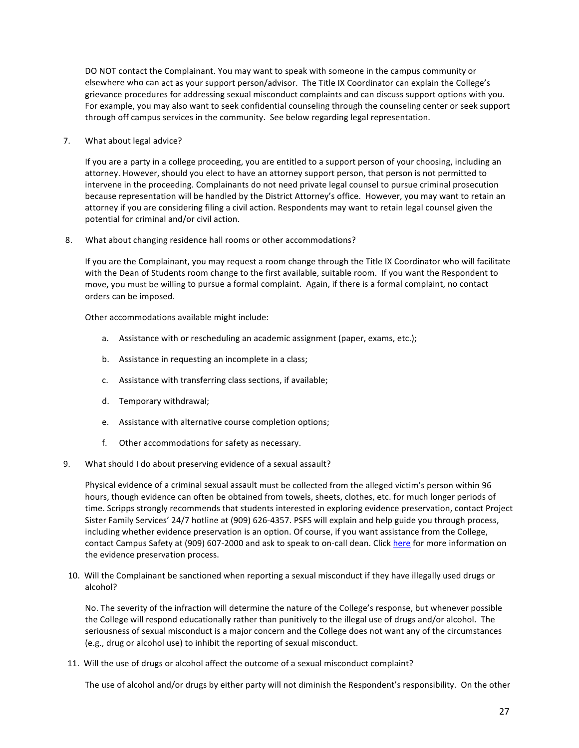DO NOT contact the Complainant. You may want to speak with someone in the campus community or elsewhere who can act as your support person/advisor. The Title IX Coordinator can explain the College's grievance procedures for addressing sexual misconduct complaints and can discuss support options with you. For example, you may also want to seek confidential counseling through the counseling center or seek support through off campus services in the community. See below regarding legal representation.

7. What about legal advice?

If you are a party in a college proceeding, you are entitled to a support person of your choosing, including an attorney. However, should you elect to have an attorney support person, that person is not permitted to intervene in the proceeding. Complainants do not need private legal counsel to pursue criminal prosecution because representation will be handled by the District Attorney's office. However, you may want to retain an attorney if you are considering filing a civil action. Respondents may want to retain legal counsel given the potential for criminal and/or civil action.

8. What about changing residence hall rooms or other accommodations?

If you are the Complainant, you may request a room change through the Title IX Coordinator who will facilitate with the Dean of Students room change to the first available, suitable room. If you want the Respondent to move, you must be willing to pursue a formal complaint. Again, if there is a formal complaint, no contact orders can be imposed.

Other accommodations available might include:

- a. Assistance with or rescheduling an academic assignment (paper, exams, etc.);
- b. Assistance in requesting an incomplete in a class;
- c. Assistance with transferring class sections, if available;
- d. Temporary withdrawal;
- e. Assistance with alternative course completion options;
- f. Other accommodations for safety as necessary.
- 9. What should I do about preserving evidence of a sexual assault?

Physical evidence of a criminal sexual assault must be collected from the alleged victim's person within 96 hours, though evidence can often be obtained from towels, sheets, clothes, etc. for much longer periods of time. Scripps strongly recommends that students interested in exploring evidence preservation, contact Project Sister Family Services' 24/7 hotline at (909) 626-4357. PSFS will explain and help guide you through process, including whether evidence preservation is an option. Of course, if you want assistance from the College, contact Campus Safety at (909) 607-2000 and ask to speak to on-call dean. Click here for more information on the evidence preservation process.

10. Will the Complainant be sanctioned when reporting a sexual misconduct if they have illegally used drugs or alcohol?

No. The severity of the infraction will determine the nature of the College's response, but whenever possible the College will respond educationally rather than punitively to the illegal use of drugs and/or alcohol. The seriousness of sexual misconduct is a major concern and the College does not want any of the circumstances (e.g., drug or alcohol use) to inhibit the reporting of sexual misconduct.

11. Will the use of drugs or alcohol affect the outcome of a sexual misconduct complaint?

The use of alcohol and/or drugs by either party will not diminish the Respondent's responsibility. On the other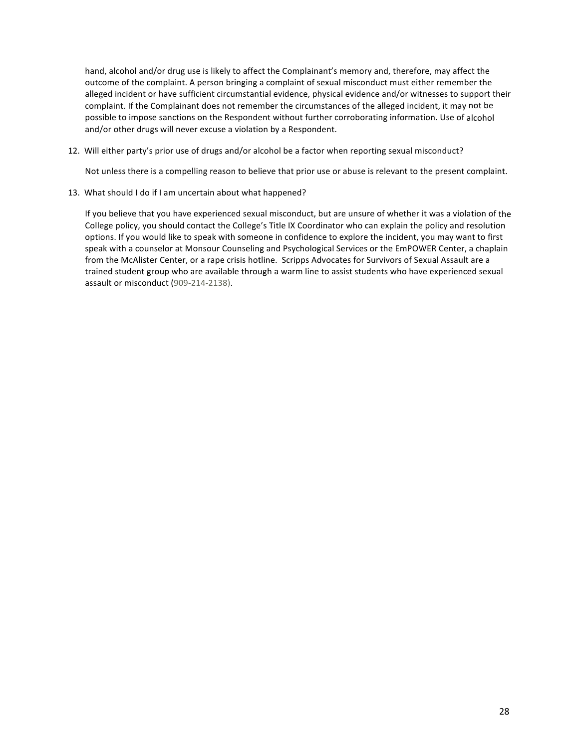hand, alcohol and/or drug use is likely to affect the Complainant's memory and, therefore, may affect the outcome of the complaint. A person bringing a complaint of sexual misconduct must either remember the alleged incident or have sufficient circumstantial evidence, physical evidence and/or witnesses to support their complaint. If the Complainant does not remember the circumstances of the alleged incident, it may not be possible to impose sanctions on the Respondent without further corroborating information. Use of alcohol and/or other drugs will never excuse a violation by a Respondent.

12. Will either party's prior use of drugs and/or alcohol be a factor when reporting sexual misconduct?

Not unless there is a compelling reason to believe that prior use or abuse is relevant to the present complaint.

13. What should I do if I am uncertain about what happened?

If you believe that you have experienced sexual misconduct, but are unsure of whether it was a violation of the College policy, you should contact the College's Title IX Coordinator who can explain the policy and resolution options. If you would like to speak with someone in confidence to explore the incident, you may want to first speak with a counselor at Monsour Counseling and Psychological Services or the EmPOWER Center, a chaplain from the McAlister Center, or a rape crisis hotline. Scripps Advocates for Survivors of Sexual Assault are a trained student group who are available through a warm line to assist students who have experienced sexual assault or misconduct (909-214-2138).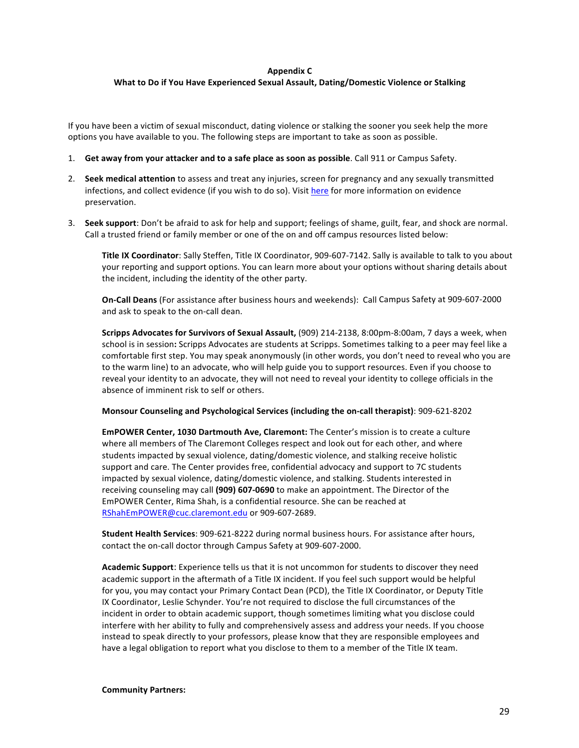### **Appendix C**

### **What to Do if You Have Experienced Sexual Assault, Dating/Domestic Violence or Stalking**

If you have been a victim of sexual misconduct, dating violence or stalking the sooner you seek help the more options you have available to you. The following steps are important to take as soon as possible.

- 1. Get away from your attacker and to a safe place as soon as possible. Call 911 or Campus Safety.
- 2. **Seek medical attention** to assess and treat any injuries, screen for pregnancy and any sexually transmitted infections, and collect evidence (if you wish to do so). Visit here for more information on evidence preservation.
- 3. **Seek support**: Don't be afraid to ask for help and support; feelings of shame, guilt, fear, and shock are normal. Call a trusted friend or family member or one of the on and off campus resources listed below:

**Title IX Coordinator**: Sally Steffen, Title IX Coordinator, 909-607-7142. Sally is available to talk to you about your reporting and support options. You can learn more about your options without sharing details about the incident, including the identity of the other party.

**On-Call Deans** (For assistance after business hours and weekends): Call Campus Safety at 909-607-2000 and ask to speak to the on-call dean.

Scripps Advocates for Survivors of Sexual Assault, (909) 214-2138, 8:00pm-8:00am, 7 days a week, when school is in session: Scripps Advocates are students at Scripps. Sometimes talking to a peer may feel like a comfortable first step. You may speak anonymously (in other words, you don't need to reveal who you are to the warm line) to an advocate, who will help guide you to support resources. Even if you choose to reveal your identity to an advocate, they will not need to reveal your identity to college officials in the absence of imminent risk to self or others.

**Monsour Counseling and Psychological Services (including the on-call therapist):** 909-621-8202

**EmPOWER Center, 1030 Dartmouth Ave, Claremont:** The Center's mission is to create a culture where all members of The Claremont Colleges respect and look out for each other, and where students impacted by sexual violence, dating/domestic violence, and stalking receive holistic support and care. The Center provides free, confidential advocacy and support to 7C students impacted by sexual violence, dating/domestic violence, and stalking. Students interested in receiving counseling may call (909) 607-0690 to make an appointment. The Director of the EmPOWER Center, Rima Shah, is a confidential resource. She can be reached at RShahEmPOWER@cuc.claremont.edu or 909-607-2689.

**Student Health Services**: 909-621-8222 during normal business hours. For assistance after hours, contact the on-call doctor through Campus Safety at 909-607-2000.

**Academic Support:** Experience tells us that it is not uncommon for students to discover they need academic support in the aftermath of a Title IX incident. If you feel such support would be helpful for you, you may contact your Primary Contact Dean (PCD), the Title IX Coordinator, or Deputy Title IX Coordinator, Leslie Schynder. You're not required to disclose the full circumstances of the incident in order to obtain academic support, though sometimes limiting what you disclose could interfere with her ability to fully and comprehensively assess and address your needs. If you choose instead to speak directly to your professors, please know that they are responsible employees and have a legal obligation to report what you disclose to them to a member of the Title IX team.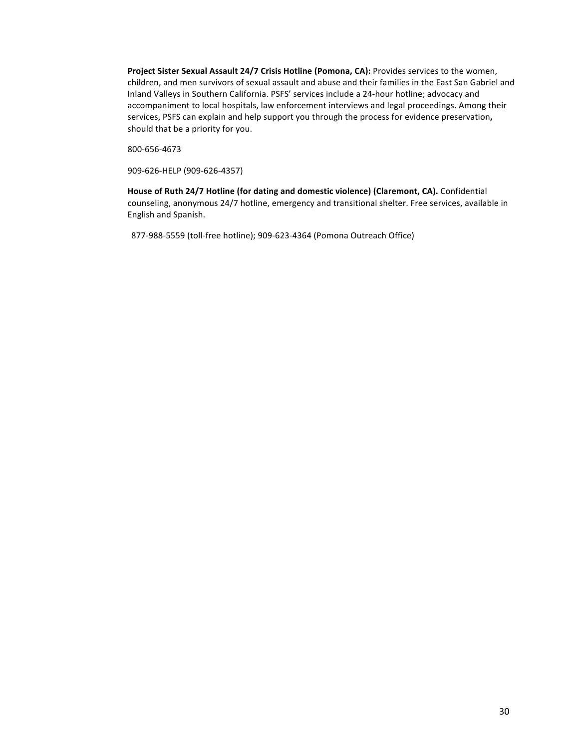Project Sister Sexual Assault 24/7 Crisis Hotline (Pomona, CA): Provides services to the women, children, and men survivors of sexual assault and abuse and their families in the East San Gabriel and Inland Valleys in Southern California. PSFS' services include a 24-hour hotline; advocacy and accompaniment to local hospitals, law enforcement interviews and legal proceedings. Among their services, PSFS can explain and help support you through the process for evidence preservation, should that be a priority for you.

800-656-4673

909-626-HELP (909-626-4357)

House of Ruth 24/7 Hotline (for dating and domestic violence) (Claremont, CA). Confidential counseling, anonymous 24/7 hotline, emergency and transitional shelter. Free services, available in English and Spanish.

877-988-5559 (toll-free hotline); 909-623-4364 (Pomona Outreach Office)